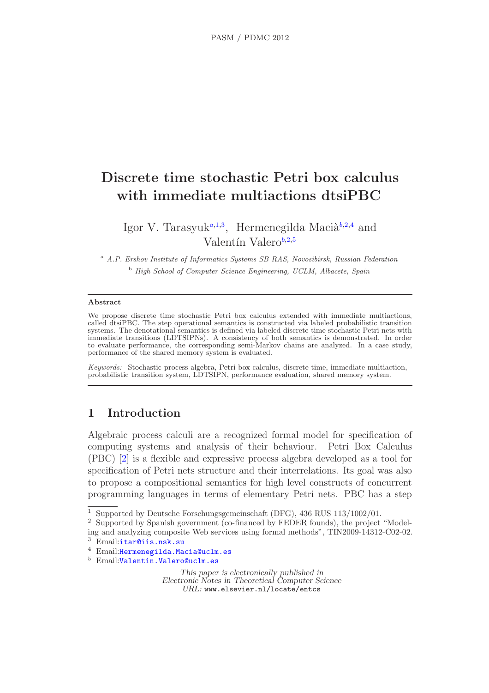# Discrete time stochastic Petri box calculus with immediate multiactions dtsiPBC

Igor V. T[a](#page-0-0)rasyuk<sup>a,[1](#page-0-1),[3](#page-0-1)</sup>, Hermenegilda Macia<sup>[b](#page-0-2),[2](#page-0-1),[4](#page-0-1)</sup> and Valentín Valero $b$ , [2](#page-0-1),[5](#page-0-1)

<span id="page-0-2"></span><span id="page-0-1"></span><span id="page-0-0"></span><sup>a</sup> *A.P. Ershov Institute of Informatics Systems SB RAS, Novosibirsk, Russian Federation* <sup>b</sup> *High School of Computer Science Engineering, UCLM, Albacete, Spain*

#### Abstract

We propose discrete time stochastic Petri box calculus extended with immediate multiactions, called dtsiPBC. The step operational semantics is constructed via labeled probabilistic transition systems. The denotational semantics is defined via labeled discrete time stochastic Petri nets with immediate transitions (LDTSIPNs). A consistency of both semantics is demonstrated. In order to evaluate performance, the corresponding semi-Markov chains are analyzed. In a case study, performance of the shared memory system is evaluated.

*Keywords:* Stochastic process algebra, Petri box calculus, discrete time, immediate multiaction, probabilistic transition system, LDTSIPN, performance evaluation, shared memory system.

# 1 Introduction

Algebraic process calculi are a recognized formal model for specification of computing systems and analysis of their behaviour. Petri Box Calculus (PBC) [\[2\]](#page-24-0) is a flexible and expressive process algebra developed as a tool for specification of Petri nets structure and their interrelations. Its goal was also to propose a compositional semantics for high level constructs of concurrent programming languages in terms of elementary Petri nets. PBC has a step

This paper is electronically published in Electronic Notes in Theoretical Computer Science URL: www.elsevier.nl/locate/entcs

 $^1$  Supported by Deutsche Forschungsgemeinschaft (DFG), 436 RUS 113/1002/01.

<sup>2</sup> Supported by Spanish government (co-financed by FEDER founds), the project "Modeling and analyzing composite Web services using formal methods", TIN2009-14312-C02-02.

<sup>3</sup> Email:[itar@iis.nsk.su](mailto:itar@iis.nsk.su)

<sup>4</sup> Email:[Hermenegilda.Macia@uclm.es](mailto:Hermenegilda.Macia@uclm.es)

<sup>5</sup> Email:[Valentin.Valero@uclm.es](mailto:Valentin.Valero@uclm.es)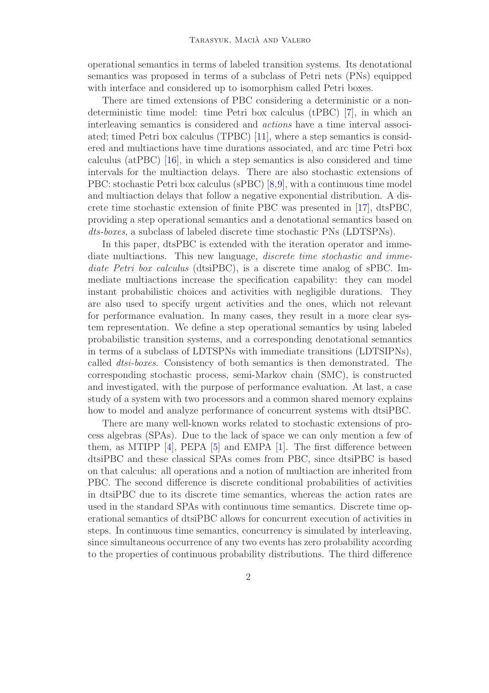operational semantics in terms of labeled transition systems. Its denotational semantics was proposed in terms of a subclass of Petri nets (PNs) equipped with interface and considered up to isomorphism called Petri boxes.

There are timed extensions of PBC considering a deterministic or a nondeterministic time model: time Petri box calculus (tPBC) [\[7\]](#page-24-1), in which an interleaving semantics is considered and actions have a time interval associated; timed Petri box calculus (TPBC) [\[11\]](#page-24-2), where a step semantics is considered and multiactions have time durations associated, and arc time Petri box calculus (atPBC) [\[16\]](#page-24-3), in which a step semantics is also considered and time intervals for the multiaction delays. There are also stochastic extensions of PBC: stochastic Petri box calculus (sPBC) [\[8,](#page-24-4)[9\]](#page-24-5), with a continuous time model and multiaction delays that follow a negative exponential distribution. A discrete time stochastic extension of finite PBC was presented in [\[17\]](#page-24-6), dtsPBC, providing a step operational semantics and a denotational semantics based on dts-boxes, a subclass of labeled discrete time stochastic PNs (LDTSPNs).

In this paper, dtsPBC is extended with the iteration operator and immediate multiactions. This new language, *discrete time stochastic and imme*diate Petri box calculus (dtsiPBC), is a discrete time analog of sPBC. Immediate multiactions increase the specification capability: they can model instant probabilistic choices and activities with negligible durations. They are also used to specify urgent activities and the ones, which not relevant for performance evaluation. In many cases, they result in a more clear system representation. We define a step operational semantics by using labeled probabilistic transition systems, and a corresponding denotational semantics in terms of a subclass of LDTSPNs with immediate transitions (LDTSIPNs), called dtsi-boxes. Consistency of both semantics is then demonstrated. The corresponding stochastic process, semi-Markov chain (SMC), is constructed and investigated, with the purpose of performance evaluation. At last, a case study of a system with two processors and a common shared memory explains how to model and analyze performance of concurrent systems with dtsiPBC.

There are many well-known works related to stochastic extensions of process algebras (SPAs). Due to the lack of space we can only mention a few of them, as MTIPP [\[4\]](#page-24-7), PEPA [\[5\]](#page-24-8) and EMPA [\[1\]](#page-24-9). The first difference between dtsiPBC and these classical SPAs comes from PBC, since dtsiPBC is based on that calculus: all operations and a notion of multiaction are inherited from PBC. The second difference is discrete conditional probabilities of activities in dtsiPBC due to its discrete time semantics, whereas the action rates are used in the standard SPAs with continuous time semantics. Discrete time operational semantics of dtsiPBC allows for concurrent execution of activities in steps. In continuous time semantics, concurrency is simulated by interleaving, since simultaneous occurrence of any two events has zero probability according to the properties of continuous probability distributions. The third difference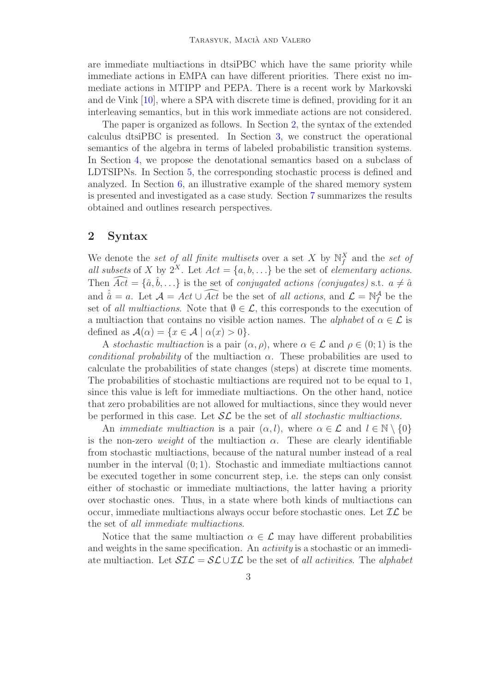are immediate multiactions in dtsiPBC which have the same priority while immediate actions in EMPA can have different priorities. There exist no immediate actions in MTIPP and PEPA. There is a recent work by Markovski and de Vink [\[10\]](#page-24-10), where a SPA with discrete time is defined, providing for it an interleaving semantics, but in this work immediate actions are not considered.

The paper is organized as follows. In Section [2,](#page-2-0) the syntax of the extended calculus dtsiPBC is presented. In Section [3,](#page-4-0) we construct the operational semantics of the algebra in terms of labeled probabilistic transition systems. In Section [4,](#page-10-0) we propose the denotational semantics based on a subclass of LDTSIPNs. In Section [5,](#page-15-0) the corresponding stochastic process is defined and analyzed. In Section [6,](#page-19-0) an illustrative example of the shared memory system is presented and investigated as a case study. Section [7](#page-22-0) summarizes the results obtained and outlines research perspectives.

# <span id="page-2-0"></span>2 Syntax

We denote the set of all finite multisets over a set X by  $\mathbb{N}_f^X$  and the set of all subsets of X by  $2^X$ . Let  $Act = \{a, b, \ldots\}$  be the set of *elementary actions*. Then  $\widehat{Act} = \{\hat{a}, \hat{b}, ...\}$  is the set of *conjugated actions (conjugates)* s.t.  $a \neq \hat{a}$ and  $\hat{a} = a$ . Let  $\mathcal{A} = Act \cup \widehat{Act}$  be the set of all actions, and  $\mathcal{L} = \mathbb{N}_f^{\mathcal{A}}$  be the set of all multiactions. Note that  $\emptyset \in \mathcal{L}$ , this corresponds to the execution of a multiaction that contains no visible action names. The *alphabet* of  $\alpha \in \mathcal{L}$  is defined as  $\mathcal{A}(\alpha) = \{x \in \mathcal{A} \mid \alpha(x) > 0\}.$ 

A stochastic multiaction is a pair  $(\alpha, \rho)$ , where  $\alpha \in \mathcal{L}$  and  $\rho \in (0, 1)$  is the conditional probability of the multiaction  $\alpha$ . These probabilities are used to calculate the probabilities of state changes (steps) at discrete time moments. The probabilities of stochastic multiactions are required not to be equal to 1, since this value is left for immediate multiactions. On the other hand, notice that zero probabilities are not allowed for multiactions, since they would never be performed in this case. Let  $\mathcal{SL}$  be the set of all stochastic multiactions.

An *immediate multiaction* is a pair  $(\alpha, l)$ , where  $\alpha \in \mathcal{L}$  and  $l \in \mathbb{N} \setminus \{0\}$ is the non-zero weight of the multiaction  $\alpha$ . These are clearly identifiable from stochastic multiactions, because of the natural number instead of a real number in the interval  $(0, 1)$ . Stochastic and immediate multiactions cannot be executed together in some concurrent step, i.e. the steps can only consist either of stochastic or immediate multiactions, the latter having a priority over stochastic ones. Thus, in a state where both kinds of multiactions can occur, immediate multiactions always occur before stochastic ones. Let  $\mathcal{IL}$  be the set of all immediate multiactions.

Notice that the same multiaction  $\alpha \in \mathcal{L}$  may have different probabilities and weights in the same specification. An activity is a stochastic or an immediate multiaction. Let  $\mathcal{SIL} = \mathcal{SL} \cup \mathcal{IL}$  be the set of all activities. The alphabet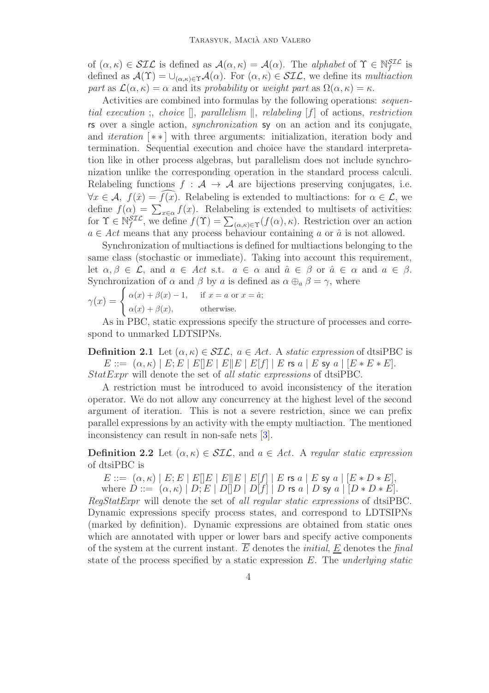of  $(\alpha, \kappa) \in \mathcal{SIL}$  is defined as  $\mathcal{A}(\alpha, \kappa) = \mathcal{A}(\alpha)$ . The alphabet of  $\Upsilon \in \mathbb{N}^{\mathcal{SIL}}_f$  is defined as  $\mathcal{A}(\Upsilon) = \bigcup_{(\alpha,\kappa)\in\Upsilon}\mathcal{A}(\alpha)$ . For  $(\alpha,\kappa) \in \mathcal{SIL}$ , we define its multiaction part as  $\mathcal{L}(\alpha,\kappa) = \alpha$  and its probability or weight part as  $\Omega(\alpha,\kappa) = \kappa$ .

Activities are combined into formulas by the following operations: sequential execution ;, choice  $\parallel$ , parallelism  $\parallel$ , relabeling  $\parallel f \parallel$  of actions, restriction rs over a single action, synchronization sy on an action and its conjugate, and *iteration* [\*\*] with three arguments: initialization, iteration body and termination. Sequential execution and choice have the standard interpretation like in other process algebras, but parallelism does not include synchronization unlike the corresponding operation in the standard process calculi. Relabeling functions  $f : \mathcal{A} \to \mathcal{A}$  are bijections preserving conjugates, i.e.  $\forall x \in \mathcal{A}, f(\hat{x}) = f(x)$ . Relabeling is extended to multiactions: for  $\alpha \in \mathcal{L}$ , we define  $f(\alpha) = \sum_{x \in \alpha} f(x)$ . Relabeling is extended to multisets of activities: for  $\Upsilon \in \mathbb{N}_{f}^{\mathcal{SL}}$ , we define  $f(\Upsilon) = \sum_{(\alpha,\kappa) \in \Upsilon} (f(\alpha), \kappa)$ . Restriction over an action  $a \in Act$  means that any process behaviour containing a or  $\hat{a}$  is not allowed.

Synchronization of multiactions is defined for multiactions belonging to the same class (stochastic or immediate). Taking into account this requirement, let  $\alpha, \beta \in \mathcal{L}$ , and  $a \in \mathcal{A}ct$  s.t.  $a \in \alpha$  and  $\hat{a} \in \beta$  or  $\hat{a} \in \alpha$  and  $a \in \beta$ . Synchronization of  $\alpha$  and  $\beta$  by  $\alpha$  is defined as  $\alpha \oplus_{\alpha} \beta = \gamma$ , where

$$
\gamma(x) = \begin{cases} \alpha(x) + \beta(x) - 1, & \text{if } x = a \text{ or } x = \hat{a}; \\ \alpha(x) + \beta(x), & \text{otherwise.} \end{cases}
$$

As in PBC, static expressions specify the structure of processes and correspond to unmarked LDTSIPNs.

**Definition 2.1** Let  $(\alpha, \kappa) \in \mathcal{SIL}$ ,  $a \in Act$ . A static expression of dtsiPBC is  $E ::= (\alpha, \kappa) | E; E | E | E | E | E | E | E | f | | E$  rs  $a | E$  sy  $a | [E * E * E].$ StatExpr will denote the set of all static expressions of dtsiPBC.

A restriction must be introduced to avoid inconsistency of the iteration operator. We do not allow any concurrency at the highest level of the second argument of iteration. This is not a severe restriction, since we can prefix parallel expressions by an activity with the empty multiaction. The mentioned inconsistency can result in non-safe nets [\[3\]](#page-24-11).

**Definition 2.2** Let  $(\alpha, \kappa) \in \mathcal{SIL}$ , and  $a \in Act$ . A regular static expression of dtsiPBC is

 $E ::= (\alpha, \kappa) | E; E | E | E | E | E | E | E | f | E \text{ is a} | E \text{ sy a} | [E * D * E],$ where  $D ::= (\alpha, \kappa) | D; E | D[|D | D[f] | D$  rs  $a | D$  sy  $a | [D * D * E].$ 

RegStatExpr will denote the set of all regular static expressions of dtsiPBC. Dynamic expressions specify process states, and correspond to LDTSIPNs (marked by definition). Dynamic expressions are obtained from static ones which are annotated with upper or lower bars and specify active components of the system at the current instant.  $\overline{E}$  denotes the *initial*, E denotes the *final* state of the process specified by a static expression  $E$ . The underlying static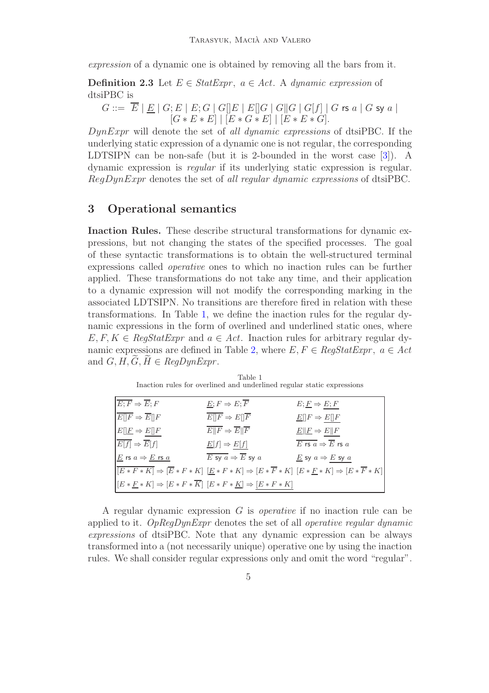expression of a dynamic one is obtained by removing all the bars from it.

**Definition 2.3** Let  $E \in StatExpr$ ,  $a \in Act$ . A dynamic expression of dtsiPBC is

 $G ::= \overline{E} | E | G; E | E; G | G || E | E || G | G || G | G | f | G$  is a | G sy a |  $[G * E * E] | [E * G * E] | [E * E * G].$ 

 $DynExpr$  will denote the set of all dynamic expressions of dtsiPBC. If the underlying static expression of a dynamic one is not regular, the corresponding LDTSIPN can be non-safe (but it is 2-bounded in the worst case [\[3\]](#page-24-11)). A dynamic expression is regular if its underlying static expression is regular. RegDynExpr denotes the set of all regular dynamic expressions of dtsiPBC.

## <span id="page-4-0"></span>3 Operational semantics

Inaction Rules. These describe structural transformations for dynamic expressions, but not changing the states of the specified processes. The goal of these syntactic transformations is to obtain the well-structured terminal expressions called operative ones to which no inaction rules can be further applied. These transformations do not take any time, and their application to a dynamic expression will not modify the corresponding marking in the associated LDTSIPN. No transitions are therefore fired in relation with these transformations. In Table [1,](#page-4-1) we define the inaction rules for the regular dynamic expressions in the form of overlined and underlined static ones, where  $E, F, K \in \text{ReadExpr}$  and  $a \in \text{Act.}$  Inaction rules for arbitrary regular dy-namic expressions are defined in Table [2,](#page-5-0) where  $E, F \in RegStatexpr$ ,  $a \in Act$ and  $G, H, G, H \in \text{RegDynError}.$ 

| Table 1 |  |  |  |  |  |  |  |                                                                         |  |  |
|---------|--|--|--|--|--|--|--|-------------------------------------------------------------------------|--|--|
|         |  |  |  |  |  |  |  | In action rules for overlined and underlined regular static expressions |  |  |

<span id="page-4-1"></span>

| $\overline{E;F} \Rightarrow \overline{E};F$                          | $E; F \Rightarrow E; \overline{F}$                                                                                                                                   | $E; E \Rightarrow E; F$                  |
|----------------------------------------------------------------------|----------------------------------------------------------------------------------------------------------------------------------------------------------------------|------------------------------------------|
| $\overline{E}$    $\overline{F}$ $\Rightarrow$ $\overline{E}$    $F$ | $E  F \Rightarrow E  \overline{F}$                                                                                                                                   | $E[]F \Rightarrow E[]F$                  |
| $E[\underline{F} \Rightarrow E[\overline{F}]$                        | $E  F \Rightarrow E  F$                                                                                                                                              | $E  E \Rightarrow E  F$                  |
| $\overline{E[f]} \Rightarrow \overline{E}[f]$                        | $E[f] \Rightarrow E[f]$                                                                                                                                              | E rs $a \Rightarrow \overline{E}$ rs $a$ |
| $E$ rs $a \Rightarrow E$ rs $a$                                      | E sy $a \Rightarrow \overline{E}$ sy $a$                                                                                                                             | E sy $a \Rightarrow E$ sy $a$            |
|                                                                      | $\overline{[E*F*K]} \Rightarrow \overline{[E*F*K]} \quad \underline{[E*F*K]} \Rightarrow [E*\overline{F}*K] \quad \overline{[E*F*K]} \Rightarrow [E*\overline{F}*K]$ |                                          |
|                                                                      | $[E * F * K] \Rightarrow [E * F * \overline{K}] [E * F * K] \Rightarrow [E * F * K]$                                                                                 |                                          |

A regular dynamic expression G is operative if no inaction rule can be applied to it.  $OpRegDynExpr$  denotes the set of all *operative regular dynamic* expressions of dtsiPBC. Note that any dynamic expression can be always transformed into a (not necessarily unique) operative one by using the inaction rules. We shall consider regular expressions only and omit the word "regular".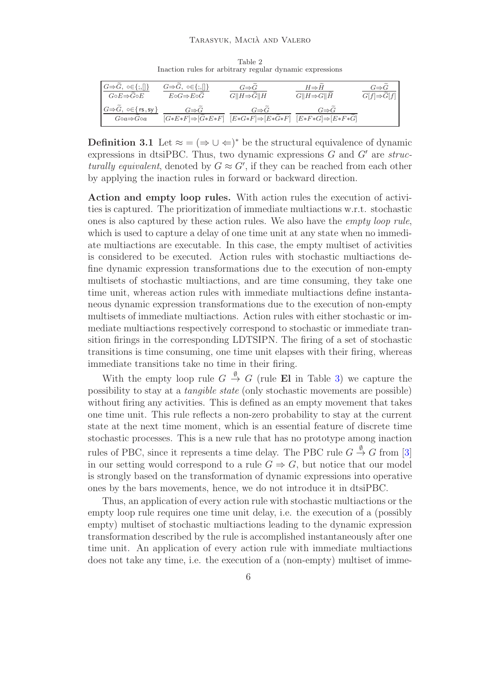Table 2 Inaction rules for arbitrary regular dynamic expressions

<span id="page-5-0"></span>

| $G \Rightarrow \widetilde{G}, \neg \in \{ ; , \Box \}$                                                      | $G \Rightarrow G, \ \circ \in \{;,\}$              | $G \Rightarrow G$                                                                | $H \Rightarrow H$       | $G \Rightarrow G$               |
|-------------------------------------------------------------------------------------------------------------|----------------------------------------------------|----------------------------------------------------------------------------------|-------------------------|---------------------------------|
| $G \circ E \Rightarrow G \circ E$                                                                           | $E \circ G \Rightarrow E \circ G$                  | $G  H \Rightarrow G  H$                                                          | $G  H \Rightarrow G  H$ | $G[f] \Rightarrow \tilde{G}[f]$ |
| $G \Rightarrow \widetilde{G}$ , $\circ \in \{ \text{rs}, \text{sy} \}$<br>$G \circ a \Rightarrow G \circ a$ | $G \Rightarrow G$<br>$[G*E*F] \Rightarrow [G*E*F]$ | $G \Rightarrow G$<br>$[E*G*F] \Rightarrow [E*G*F]$ $[E*F*G] \Rightarrow [E*F*G]$ | $G \Rightarrow G$       |                                 |

**Definition 3.1** Let  $\approx$  =  $(\Rightarrow \cup \Leftarrow)^*$  be the structural equivalence of dynamic expressions in dtsiPBC. Thus, two dynamic expressions  $G$  and  $G'$  are structurally equivalent, denoted by  $G \approx G'$ , if they can be reached from each other by applying the inaction rules in forward or backward direction.

Action and empty loop rules. With action rules the execution of activities is captured. The prioritization of immediate multiactions w.r.t. stochastic ones is also captured by these action rules. We also have the empty loop rule, which is used to capture a delay of one time unit at any state when no immediate multiactions are executable. In this case, the empty multiset of activities is considered to be executed. Action rules with stochastic multiactions define dynamic expression transformations due to the execution of non-empty multisets of stochastic multiactions, and are time consuming, they take one time unit, whereas action rules with immediate multiactions define instantaneous dynamic expression transformations due to the execution of non-empty multisets of immediate multiactions. Action rules with either stochastic or immediate multiactions respectively correspond to stochastic or immediate transition firings in the corresponding LDTSIPN. The firing of a set of stochastic transitions is time consuming, one time unit elapses with their firing, whereas immediate transitions take no time in their firing.

With the empty loop rule  $G \stackrel{\emptyset}{\rightarrow} G$  (rule El in Table [3\)](#page-7-0) we capture the possibility to stay at a tangible state (only stochastic movements are possible) without firing any activities. This is defined as an empty movement that takes one time unit. This rule reflects a non-zero probability to stay at the current state at the next time moment, which is an essential feature of discrete time stochastic processes. This is a new rule that has no prototype among inaction rules of PBC, since it represents a time delay. The PBC rule  $G \stackrel{\emptyset}{\to} G$  from [\[3\]](#page-24-11) in our setting would correspond to a rule  $G \Rightarrow G$ , but notice that our model is strongly based on the transformation of dynamic expressions into operative ones by the bars movements, hence, we do not introduce it in dtsiPBC.

Thus, an application of every action rule with stochastic multiactions or the empty loop rule requires one time unit delay, i.e. the execution of a (possibly empty) multiset of stochastic multiactions leading to the dynamic expression transformation described by the rule is accomplished instantaneously after one time unit. An application of every action rule with immediate multiactions does not take any time, i.e. the execution of a (non-empty) multiset of imme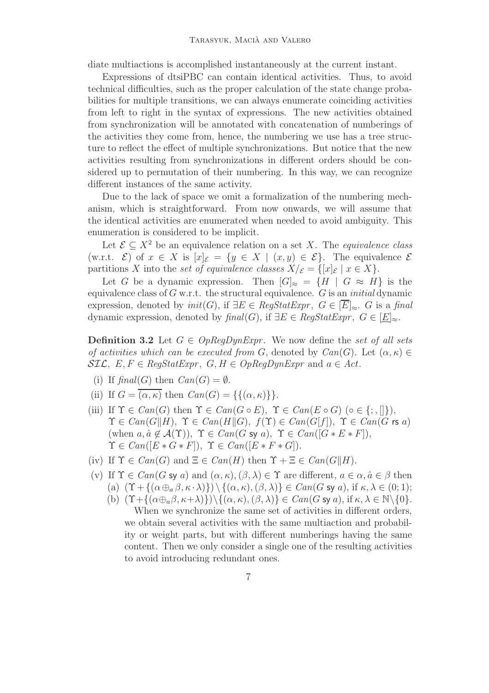diate multiactions is accomplished instantaneously at the current instant.

Expressions of dtsiPBC can contain identical activities. Thus, to avoid technical difficulties, such as the proper calculation of the state change probabilities for multiple transitions, we can always enumerate coinciding activities from left to right in the syntax of expressions. The new activities obtained from synchronization will be annotated with concatenation of numberings of the activities they come from, hence, the numbering we use has a tree structure to reflect the effect of multiple synchronizations. But notice that the new activities resulting from synchronizations in different orders should be considered up to permutation of their numbering. In this way, we can recognize different instances of the same activity.

Due to the lack of space we omit a formalization of the numbering mechanism, which is straightforward. From now onwards, we will assume that the identical activities are enumerated when needed to avoid ambiguity. This enumeration is considered to be implicit.

Let  $\mathcal{E} \subset X^2$  be an equivalence relation on a set X. The *equivalence class* (w.r.t.  $\mathcal{E}$ ) of  $x \in X$  is  $[x]_{\mathcal{E}} = \{y \in X \mid (x, y) \in \mathcal{E}\}\.$  The equivalence  $\mathcal{E}$ partitions X into the set of equivalence classes  $X/\varepsilon = \{ [x]_{\varepsilon} \mid x \in X \}.$ 

Let G be a dynamic expression. Then  $[G]_{\approx} = \{H \mid G \approx H\}$  is the equivalence class of  $G$  w.r.t. the structural equivalence.  $G$  is an *initial* dynamic expression, denoted by  $init(G)$ , if  $\exists E \in \text{RegStatExpr}$ ,  $G \in \overline{E}|_{\approx}$ . G is a final dynamic expression, denoted by  $\text{final}(G)$ , if  $\exists E \in \text{RegStatExpr}, G \in \boxed{E} \approx$ .

**Definition 3.2** Let  $G \in OpRegDynExpr$ . We now define the set of all sets of activities which can be executed from G, denoted by  $Can(G)$ . Let  $(\alpha, \kappa) \in$  $\mathcal{SIL}, E, F \in RegStatexpr, G, H \in OpRegDynExpr$  and  $a \in Act.$ 

- (i) If  $\text{final}(G)$  then  $\text{Can}(G) = \emptyset$ .
- (ii) If  $G = \overline{(\alpha, \kappa)}$  then  $Can(G) = \{\{(\alpha, \kappa)\}\}.$
- (iii) If  $\Upsilon \in Can(G)$  then  $\Upsilon \in Can(G \circ E)$ ,  $\Upsilon \in Can(E \circ G)$  ( $\circ \in \{\cdot, \cdot\}$ ),  $\Upsilon \in Can(G||H), \Upsilon \in Can(H||G), f(\Upsilon) \in Can(G[f]), \Upsilon \in Can(G \text{ rs } a)$ (when  $a, \hat{a} \notin \mathcal{A}(\Upsilon)$ ),  $\Upsilon \in \text{Can}(G \text{ sy } a)$ ,  $\Upsilon \in \text{Can}([G * E * F])$ ,  $\Upsilon \in Can([E * G * F]), \ \Upsilon \in Can([E * F * G]).$
- (iv) If  $\Upsilon \in Can(G)$  and  $\Xi \in Can(H)$  then  $\Upsilon + \Xi \in Can(G||H)$ .
- (v) If  $\Upsilon \in Can(G \text{ sy } a)$  and  $(\alpha, \kappa), (\beta, \lambda) \in \Upsilon$  are different,  $a \in \alpha, \hat{a} \in \beta$  then (a)  $(\Upsilon + \{(\alpha \oplus_{a} \beta, \kappa \cdot \lambda)\}) \setminus \{(\alpha, \kappa), (\beta, \lambda)\}\in Can(G \text{ sy } a), \text{ if } \kappa, \lambda \in (0, 1);$ 
	- (b)  $(\Upsilon + \{(\alpha \oplus_{a} \beta, \kappa + \lambda)\}) \setminus \{(\alpha, \kappa), (\beta, \lambda)\}\in Can(G \text{ sy } a), \text{ if } \kappa, \lambda \in \mathbb{N} \setminus \{0\}.$

When we synchronize the same set of activities in different orders, we obtain several activities with the same multiaction and probability or weight parts, but with different numberings having the same content. Then we only consider a single one of the resulting activities to avoid introducing redundant ones.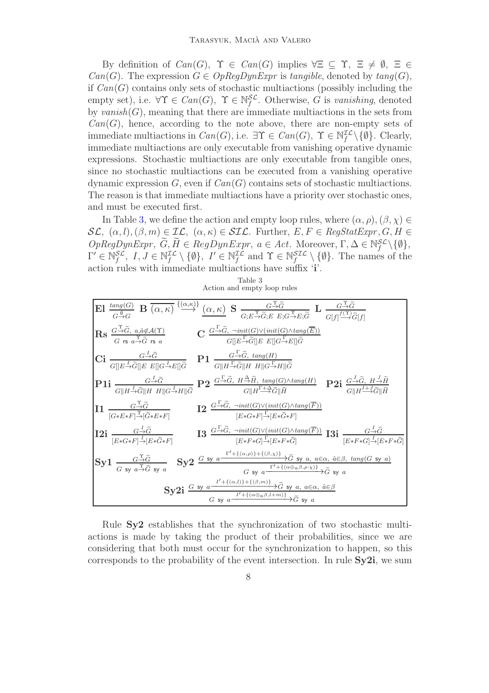By definition of  $Can(G), \Upsilon \in Can(G)$  implies  $\forall \Xi \subseteq \Upsilon, \Xi \neq \emptyset, \Xi \in$  $Can(G)$ . The expression  $G \in OpRegDynExpr$  is tangible, denoted by  $tang(G)$ , if  $Can(G)$  contains only sets of stochastic multiactions (possibly including the empty set), i.e.  $\forall \Upsilon \in Can(G), \ \Upsilon \in \mathbb{N}^{\mathcal{SL}}_f$ . Otherwise, G is vanishing, denoted by vanish $(G)$ , meaning that there are immediate multiactions in the sets from  $Can(G)$ , hence, according to the note above, there are non-empty sets of immediate multiactions in  $Can(G)$ , i.e.  $\exists \Upsilon \in Can(G), \ \Upsilon \in \mathbb{N}_{f}^{\mathcal{IL}} \setminus \{\emptyset\}.$  Clearly, immediate multiactions are only executable from vanishing operative dynamic expressions. Stochastic multiactions are only executable from tangible ones, since no stochastic multiactions can be executed from a vanishing operative dynamic expression  $G$ , even if  $Can(G)$  contains sets of stochastic multiactions. The reason is that immediate multiactions have a priority over stochastic ones, and must be executed first.

In Table [3,](#page-7-0) we define the action and empty loop rules, where  $(\alpha, \rho), (\beta, \chi) \in$  $\mathcal{SL}, (\alpha, l), (\beta, m) \in \mathcal{IL}, (\alpha, \kappa) \in \mathcal{SIL}.$  Further,  $E, F \in \text{RegStatexpr}, G, H \in$  $OpRegDynExpr, \ \widetilde{G}, \widetilde{H} \in RegDynExpr, \ a \in Act. \ \ Moreover, \ \Gamma, \Delta \in \mathbb{N}_{f}^{\mathcal{SL}}\backslash\{\emptyset\},\$  $\Gamma' \in \mathbb{N}_f^{\mathcal{SL}}, \ I, J \in \mathbb{N}_f^{\mathcal{IL}} \setminus \{\emptyset\}, \ I' \in \mathbb{N}_f^{\mathcal{IL}} \text{ and } \Upsilon \in \mathbb{N}_f^{\mathcal{SL}} \setminus \{\emptyset\}.$  The names of the action rules with immediate multiactions have suffix 'i'.

Table 3

<span id="page-7-0"></span>

| Action and empty loop rules |                                                                                                                                                                                                                                           |                                                                                                                                                                                                                                                                                                                                                                                                                                                                                                                                                                         |  |  |  |  |  |  |  |
|-----------------------------|-------------------------------------------------------------------------------------------------------------------------------------------------------------------------------------------------------------------------------------------|-------------------------------------------------------------------------------------------------------------------------------------------------------------------------------------------------------------------------------------------------------------------------------------------------------------------------------------------------------------------------------------------------------------------------------------------------------------------------------------------------------------------------------------------------------------------------|--|--|--|--|--|--|--|
|                             |                                                                                                                                                                                                                                           | $\boxed{\text{EI} \frac{\text{tang}(G)}{G \stackrel{d}{\rightarrow} G} \text{B} \stackrel{\overline{(a,\kappa)}}{(\alpha,\kappa)} \stackrel{\{\alpha,\kappa\}}{\longrightarrow} \underline{(\alpha,\kappa)} \text{S} \frac{G \stackrel{\lambda}{\rightarrow} G}{G:E \stackrel{\Upsilon}{\rightarrow} \widetilde{G}; E E: G \stackrel{\Upsilon}{\rightarrow} E; \widetilde{G}} \text{L} \frac{G \stackrel{\lambda}{\rightarrow} G}{G[f] \stackrel{f(\Upsilon)}{\rightarrow} \widetilde{G}[f]}}$                                                                          |  |  |  |  |  |  |  |
|                             |                                                                                                                                                                                                                                           | $\left  \text{Rs} \frac{G^{\frac{\gamma}{2}}\tilde{G}, a, \hat{a} \notin \mathcal{A}(\Upsilon)}{G \text{ is } a^{\frac{\gamma}{2}}\tilde{G} \text{ is } a} \right  \qquad \qquad \text{C} \frac{G^{\frac{\Gamma}{2}}\tilde{G}, \neg init(G) \lor (init(G) \land tang(\overline{E}))}{G \parallel E^{\frac{\Gamma}{2}}\tilde{G} \parallel E \text{ } E \parallel G^{\frac{\Gamma}{2}}E \parallel \tilde{G}}$                                                                                                                                                             |  |  |  |  |  |  |  |
|                             |                                                                                                                                                                                                                                           | $\Big \text{Ci}\ \frac{G\frac{I}{\to}\widetilde{G}}{G\ E\ \to\widetilde{G}\ E\ E\ G\frac{I}{\to}E\ \widetilde{G}}\ \ \text{P1}\ \frac{G\frac{I}{\to}\widetilde{G},\ tang(H)}{G\ H\ \to\widetilde{G}\ H\ \ H\ G\frac{I}{\to}H\ \widetilde{G}}$                                                                                                                                                                                                                                                                                                                           |  |  |  |  |  |  |  |
|                             |                                                                                                                                                                                                                                           | $\left\  \text{P1i} \right\ _{G \parallel H \stackrel{1}{\rightarrow} \widetilde{G} \parallel H} \frac{G \stackrel{I}{\rightarrow} \widetilde{G}}{\Vert H \parallel G \stackrel{I}{\rightarrow} H \parallel G} \text{P2} \xrightarrow{G \stackrel{\Gamma}{\rightarrow} \widetilde{G}, \ H \stackrel{\Delta}{\rightarrow} \widetilde{H}, \ tang(G) \wedge tang(H)} \left\  \text{P2i} \right\ _{G \parallel H \stackrel{I}{\rightarrow} \widetilde{G} \parallel \widetilde{H}} \right\ _{G \parallel H \stackrel{I}{\rightarrow} \widetilde{G} \parallel \widetilde{H}}$ |  |  |  |  |  |  |  |
|                             |                                                                                                                                                                                                                                           | $\Bigg  {\bf I1} \; \frac{G{\xrightarrow{\widetilde{\mathbf G}}}{{\widetilde{G}} \ast E \ast F]}\frac{G{\xrightarrow{\widetilde{\mathbf G}}}{{\widetilde{G}}} \;}{[E \ast E \ast F]} \qquad \quad {\bf I2} \; \frac{G{\xrightarrow{\widetilde{\mathbf G}}} {\widetilde{G}} , \; \neg init(G) \vee (init(G) \wedge tang(\overline{F}))}{[E \ast G \ast F]}$                                                                                                                                                                                                              |  |  |  |  |  |  |  |
|                             |                                                                                                                                                                                                                                           | $\begin{bmatrix} 12\textbf{i} \ \frac{G\cdot S}{[E*G*F]\cdot S} \ \frac{1}{[E*G*F]\cdot S} \end{bmatrix} \qquad \quad \textbf{I3} \ \frac{G\cdot S\widetilde{G}, \ \textit{-init}(G) \lor (\textit{init}(G) \land \textit{tang}(\overline{F}))}{[E*F*G]\cdot \frac{1}{[E*F*\widetilde{G}]} } \ \textbf{I3i} \ \frac{G\cdot S\widetilde{G}}{[E*F*G]\cdot \frac{1}{[E*F*\widetilde{G}]}}$                                                                                                                                                                                 |  |  |  |  |  |  |  |
|                             |                                                                                                                                                                                                                                           | $\begin{array}{lll} \textbf{Syl} & \frac{G^{\frac{\gamma}{2}}\widetilde{G}}{G \text { sy } a^{\frac{\gamma}{2}}\widetilde{G} \text { sy } a} & \textbf{Syl} & \frac{G \text { sy } a^{\frac{\gamma}{2}+\{(\alpha,\rho)\}+\{(\beta,\chi)\}}}{G \text { sy } a^{\frac{\gamma}{2}}\widetilde{G} \text { sy } a} & \frac{G \text { sy } a \in \alpha, \ \hat{a} \in \beta, \ \textit{tang}(G \text { sy } a)}{G \text { sy } a^{\frac{\gamma}{2}+\{(\alpha \oplus a\beta,\rho \cdot \chi)\}}\widetilde{$                                                                    |  |  |  |  |  |  |  |
|                             | $\textstyle \frac{\textstyle Syzi}{{}^G\text{ sy }a\frac{I'+\{(\alpha,l)\}+\{(\beta,m)\}}{I'+\{(\alpha\oplus_a\beta,l+m)\}}\tilde{G}\text{ sy }a,\;a\in\alpha,\;\hat{a}\in\beta}{I'+\{(\alpha\oplus_a\beta,l+m)\}}\tilde{G}\text{ sy }a}$ |                                                                                                                                                                                                                                                                                                                                                                                                                                                                                                                                                                         |  |  |  |  |  |  |  |

Rule Sy2 establishes that the synchronization of two stochastic multiactions is made by taking the product of their probabilities, since we are considering that both must occur for the synchronization to happen, so this corresponds to the probability of the event intersection. In rule  $Syzi$ , we sum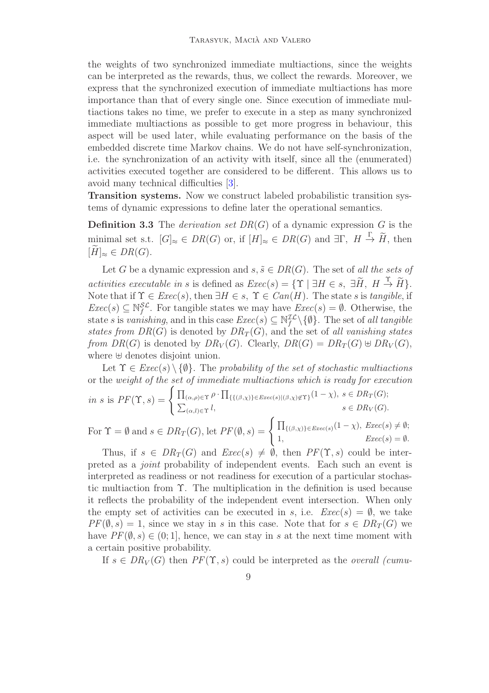the weights of two synchronized immediate multiactions, since the weights can be interpreted as the rewards, thus, we collect the rewards. Moreover, we express that the synchronized execution of immediate multiactions has more importance than that of every single one. Since execution of immediate multiactions takes no time, we prefer to execute in a step as many synchronized immediate multiactions as possible to get more progress in behaviour, this aspect will be used later, while evaluating performance on the basis of the embedded discrete time Markov chains. We do not have self-synchronization, i.e. the synchronization of an activity with itself, since all the (enumerated) activities executed together are considered to be different. This allows us to avoid many technical difficulties [\[3\]](#page-24-11).

Transition systems. Now we construct labeled probabilistic transition systems of dynamic expressions to define later the operational semantics.

**Definition 3.3** The *derivation set*  $DR(G)$  of a dynamic expression G is the minimal set s.t.  $[G]_{\approx} \in DR(G)$  or, if  $[H]_{\approx} \in DR(G)$  and  $\exists \Gamma, H \stackrel{\Gamma}{\to} \widetilde{H}$ , then  $[H]_{\approx} \in DR(G).$ 

Let G be a dynamic expression and  $s, \tilde{s} \in DR(G)$ . The set of all the sets of activities executable in s is defined as  $Exec(s) = \{ \Upsilon \mid \exists H \in s, \exists \widetilde{H}, H \stackrel{\Upsilon}{\to} \widetilde{H} \}.$ Note that if  $\Upsilon \in \mathit{Exec}(s)$ , then  $\exists H \in s$ ,  $\Upsilon \in \mathit{Can}(H)$ . The state s is tangible, if  $Exec(s) \subseteq \mathbb{N}_{f}^{\mathcal{SL}}$ . For tangible states we may have  $Exec(s) = \emptyset$ . Otherwise, the state s is vanishing, and in this case  $Exec(s) \subseteq \mathbb{N}_{f}^{IL} \setminus \{\emptyset\}$ . The set of all tangible states from  $DR(G)$  is denoted by  $DR_T(G)$ , and the set of all vanishing states from  $DR(G)$  is denoted by  $DR_V(G)$ . Clearly,  $DR(G) = DR_T(G) \oplus DR_V(G)$ , where ⊎ denotes disjoint union.

Let  $\Upsilon \in \text{Exec}(s) \setminus \{\emptyset\}$ . The probability of the set of stochastic multiactions or the weight of the set of immediate multiactions which is ready for execution

$$
in s \text{ is } PF(\Upsilon, s) = \begin{cases} \prod_{(\alpha, \rho) \in \Upsilon} \rho \cdot \prod_{\{(\beta, \chi)\} \in \text{Exec}(s) | (\beta, \chi) \notin \Upsilon\}} (1 - \chi), s \in DR_T(G); \\ \sum_{(\alpha, l) \in \Upsilon} l, & s \in DR_V(G). \end{cases}
$$

For  $\Upsilon = \emptyset$  and  $s \in DR_T(G)$ , let  $PF(\emptyset, s) = \begin{cases} \prod_{\{(\beta,\chi)\}\in\text{Exec}(s)}(1-\chi), \text{Exec}(s) \neq \emptyset; \\ \frac{1}{\gamma} \end{cases}$ 1,  $Exec(s) = \emptyset$ .

Thus, if  $s \in DR_T(G)$  and  $Exec(s) \neq \emptyset$ , then  $PF(\Upsilon, s)$  could be interpreted as a joint probability of independent events. Each such an event is interpreted as readiness or not readiness for execution of a particular stochastic multiaction from Υ. The multiplication in the definition is used because it reflects the probability of the independent event intersection. When only the empty set of activities can be executed in s, i.e.  $Exec(s) = \emptyset$ , we take  $PF(\emptyset, s) = 1$ , since we stay in s in this case. Note that for  $s \in DR_T(G)$  we have  $PF(\emptyset, s) \in (0, 1]$ , hence, we can stay in s at the next time moment with a certain positive probability.

If  $s \in DR_V(G)$  then  $PF(\Upsilon, s)$  could be interpreted as the *overall (cumu-*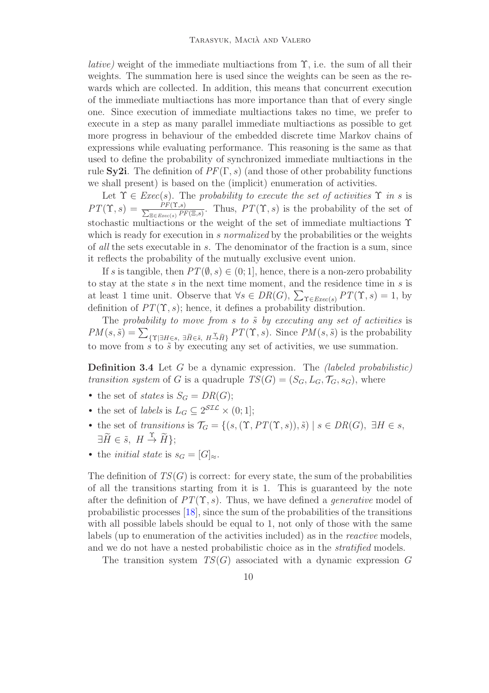*lative*) weight of the immediate multiactions from  $\Upsilon$ , i.e. the sum of all their weights. The summation here is used since the weights can be seen as the rewards which are collected. In addition, this means that concurrent execution of the immediate multiactions has more importance than that of every single one. Since execution of immediate multiactions takes no time, we prefer to execute in a step as many parallel immediate multiactions as possible to get more progress in behaviour of the embedded discrete time Markov chains of expressions while evaluating performance. This reasoning is the same as that used to define the probability of synchronized immediate multiactions in the rule **Sy2i**. The definition of  $PF(\Gamma, s)$  (and those of other probability functions we shall present) is based on the (implicit) enumeration of activities.

Let  $\Upsilon \in \text{Exec}(s)$ . The probability to execute the set of activities  $\Upsilon$  in s is  $PT(\Upsilon, s) = \frac{PF(\Upsilon, s)}{\sum_{y \in P} P(y)}$  $\frac{Pr(\mathbf{1},s)}{PF(\Xi,s)}$ . Thus,  $PT(\Upsilon,s)$  is the probability of the set of stochastic multiactions or the weight of the set of immediate multiactions  $\Upsilon$ which is ready for execution in s normalized by the probabilities or the weights of all the sets executable in s. The denominator of the fraction is a sum, since it reflects the probability of the mutually exclusive event union.

If s is tangible, then  $PT(\emptyset, s) \in (0, 1]$ , hence, there is a non-zero probability to stay at the state  $s$  in the next time moment, and the residence time in  $s$  is at least 1 time unit. Observe that  $\forall s \in DR(G), \sum_{\Upsilon \in \text{Exec}(s)} PT(\Upsilon, s) = 1$ , by definition of  $PT(\Upsilon, s)$ ; hence, it defines a probability distribution.

The probability to move from  $s$  to  $\tilde{s}$  by executing any set of activities is  $PM(s, \tilde{s}) = \sum_{\{\Upsilon \mid \exists H \in s, \ \exists \tilde{H} \in \tilde{s}, \ H \to \tilde{H}\}} PT(\Upsilon, s)$ . Since  $PM(s, \tilde{s})$  is the probability to move from  $s$  to  $\tilde{s}$  by executing any set of activities, we use summation.

**Definition 3.4** Let G be a dynamic expression. The *(labeled probabilistic)* transition system of G is a quadruple  $TS(G) = (S_G, L_G, \mathcal{T}_G, s_G)$ , where

- the set of *states* is  $S_G = DR(G);$
- the set of *labels* is  $L_G \subseteq 2^{STL} \times (0, 1];$
- the set of transitions is  $\mathcal{T}_G = \{ (s, (\Upsilon, PT(\Upsilon, s)), \tilde{s}) \mid s \in DR(G), \exists H \in s,$  $\exists \widetilde{H} \in \widetilde{s}, H \stackrel{\Upsilon}{\rightarrow} \widetilde{H} \};$
- the *initial state* is  $s_G = [G]_{\approx}$ .

The definition of  $TS(G)$  is correct: for every state, the sum of the probabilities of all the transitions starting from it is 1. This is guaranteed by the note after the definition of  $PT(\Upsilon, s)$ . Thus, we have defined a *generative* model of probabilistic processes [\[18\]](#page-24-12), since the sum of the probabilities of the transitions with all possible labels should be equal to 1, not only of those with the same labels (up to enumeration of the activities included) as in the *reactive* models, and we do not have a nested probabilistic choice as in the *stratified* models.

The transition system  $TS(G)$  associated with a dynamic expression G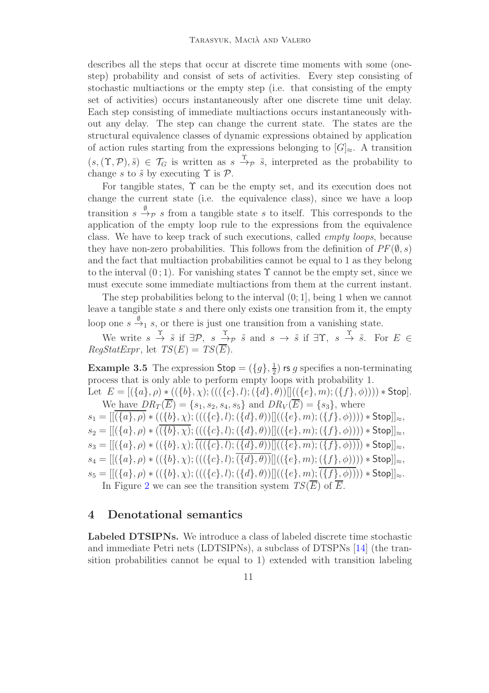describes all the steps that occur at discrete time moments with some (onestep) probability and consist of sets of activities. Every step consisting of stochastic multiactions or the empty step (i.e. that consisting of the empty set of activities) occurs instantaneously after one discrete time unit delay. Each step consisting of immediate multiactions occurs instantaneously without any delay. The step can change the current state. The states are the structural equivalence classes of dynamic expressions obtained by application of action rules starting from the expressions belonging to  $[G]_{\approx}$ . A transition  $(s,(\Upsilon,\mathcal{P}),\tilde{s})\in\mathcal{T}_G$  is written as  $s\stackrel{\Upsilon}{\to}_{\mathcal{P}}\tilde{s}$ , interpreted as the probability to change s to  $\tilde{s}$  by executing  $\Upsilon$  is  $\mathcal{P}$ .

For tangible states,  $\Upsilon$  can be the empty set, and its execution does not change the current state (i.e. the equivalence class), since we have a loop transition  $s \stackrel{\emptyset}{\rightarrow}_{\mathcal{P}} s$  from a tangible state s to itself. This corresponds to the application of the empty loop rule to the expressions from the equivalence class. We have to keep track of such executions, called empty loops, because they have non-zero probabilities. This follows from the definition of  $PF(\emptyset, s)$ and the fact that multiaction probabilities cannot be equal to 1 as they belong to the interval  $(0, 1)$ . For vanishing states  $\Upsilon$  cannot be the empty set, since we must execute some immediate multiactions from them at the current instant.

The step probabilities belong to the interval (0; 1], being 1 when we cannot leave a tangible state  $s$  and there only exists one transition from it, the empty loop one  $s \xrightarrow{\emptyset} s$ , or there is just one transition from a vanishing state.

We write  $s \stackrel{\Upsilon}{\rightarrow} \tilde{s}$  if  $\exists \mathcal{P}, s \stackrel{\Upsilon}{\rightarrow} \tilde{s}$  and  $s \rightarrow \tilde{s}$  if  $\exists \Upsilon, s \stackrel{\Upsilon}{\rightarrow} \tilde{s}$ . For  $E \in$  $RegStatExpr$ , let  $TS(E) = TS(\overline{E}).$ 

<span id="page-10-1"></span>**Example 3.5** The expression  $\mathsf{Stop} = (\{g\}, \frac{1}{2})$  $\frac{1}{2}$ ) rs g specifies a non-terminating process that is only able to perform empty loops with probability 1. Let  $E = [(\{a\}, \rho) * ((\{b\}, \chi); (((\{c\}, l); (\{d\}, \theta))]]((\{e\}, m); (\{f\}, \phi)))) * Stop].$ We have  $DR_T(\overline{E}) = \{s_1, s_2, s_4, s_5\}$  and  $DR_V(\overline{E}) = \{s_3\}$ , where  $s_1 = [[(\{a\}, \rho) * ((\{b\}, \chi) ; (((\{c\}, l) ; (\{d\}, \theta))]]((\{e\}, m) ; (\{f\}, \phi)))) * Stop]]_{\approx},$  $s_2 = [[(\{a\}, \rho) * ((\{b\}, \chi), (((\{c\}, l); (\{d\}, \theta))]]((\{e\}, m); (\{f\}, \phi)))) * \text{Stop}]]_{\approx},$  $s_3 = [[(\{a\}, \rho) * ((\{b\}, \chi); \overline{(((\{c\}, l); (\{d\}, \theta)) || ((\{e\}, m); (\{f\}, \phi))))} * \text{Stop}]]_{\approx},$  $s_4 = [[(\{a\}, \rho) * ((\{b\}, \chi); (((\{c\}, l); \overline{(\{d\}, \theta)})]]((\{e\}, m); (\{f\}, \phi)))) * Stop]]_{\approx},$  $s_5 = [[(\{a\}, \rho) * ((\{b\}, \chi); (((\{c\}, l); (\{d\}, \theta))]]((\{e\}, m); \overline{(\{f\}, \phi)})) * Stop]]_{\approx}.$ 

In Figure [2](#page-16-0) we can see the transition system  $TS(\overline{E})$  of  $\overline{E}$ .

## <span id="page-10-0"></span>4 Denotational semantics

Labeled DTSIPNs. We introduce a class of labeled discrete time stochastic and immediate Petri nets (LDTSIPNs), a subclass of DTSPNs [\[14\]](#page-24-13) (the transition probabilities cannot be equal to 1) extended with transition labeling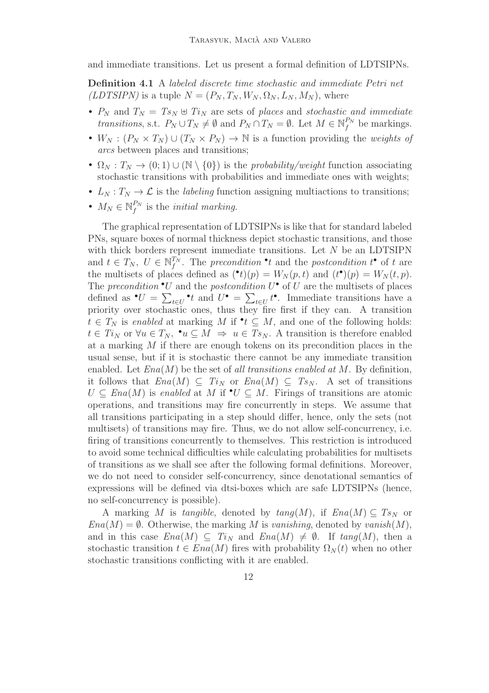and immediate transitions. Let us present a formal definition of LDTSIPNs.

Definition 4.1 A labeled discrete time stochastic and immediate Petri net  $(LDTSIPN)$  is a tuple  $N = (P_N, T_N, W_N, \Omega_N, L_N, M_N)$ , where

- $P_N$  and  $T_N = T_s_N \oplus T_i_N$  are sets of places and stochastic and immediate *transitions*, s.t.  $P_N \cup T_N \neq \emptyset$  and  $P_N \cap T_N = \emptyset$ . Let  $M \in \mathbb{N}_f^{P_N}$  be markings.
- $W_N : (P_N \times T_N) \cup (T_N \times P_N) \to \mathbb{N}$  is a function providing the weights of arcs between places and transitions;
- $\Omega_N : T_N \to (0,1) \cup (N \setminus \{0\})$  is the probability/weight function associating stochastic transitions with probabilities and immediate ones with weights;
- $L_N: T_N \to \mathcal{L}$  is the *labeling* function assigning multiactions to transitions;
- $\bullet~~ M_N \in \mathbb{N}_f^{P_N}$  $f<sup>P<sub>N</sub></sup>$  is the *initial marking*.

The graphical representation of LDTSIPNs is like that for standard labeled PNs, square boxes of normal thickness depict stochastic transitions, and those with thick borders represent immediate transitions. Let  $N$  be an LDTSIPN and  $t \in T_N$ ,  $U \in \mathbb{N}_{f}^{T_N}$ . The precondition <sup>•</sup>t and the postcondition t<sup>•</sup> of t are the multisets of places defined as  $(\bullet t)(p) = W_N(p, t)$  and  $(t^{\bullet})(p) = W_N(t, p)$ . The precondition  $\mathbf{U}$  and the postcondition  $U^{\bullet}$  of U are the multisets of places defined as  $\bullet U = \sum_{t \in U} \bullet t$  and  $U \bullet = \sum_{t \in U} t \bullet$ . Immediate transitions have a priority over stochastic ones, thus they fire first if they can. A transition  $t \in T_N$  is enabled at marking M if  $\mathbf{t} \subseteq M$ , and one of the following holds:  $t \in Ti_N$  or  $\forall u \in T_N$ ,  $\cdot u \subseteq M \Rightarrow u \in Ts_N$ . A transition is therefore enabled at a marking M if there are enough tokens on its precondition places in the usual sense, but if it is stochastic there cannot be any immediate transition enabled. Let  $Ena(M)$  be the set of all transitions enabled at M. By definition, it follows that  $Ena(M) \subseteq Ti_N$  or  $Ena(M) \subseteq Ts_N$ . A set of transitions  $U \subseteq \text{Ena}(M)$  is enabled at M if  $\mathbb{C} \subseteq M$ . Firings of transitions are atomic operations, and transitions may fire concurrently in steps. We assume that all transitions participating in a step should differ, hence, only the sets (not multisets) of transitions may fire. Thus, we do not allow self-concurrency, i.e. firing of transitions concurrently to themselves. This restriction is introduced to avoid some technical difficulties while calculating probabilities for multisets of transitions as we shall see after the following formal definitions. Moreover, we do not need to consider self-concurrency, since denotational semantics of expressions will be defined via dtsi-boxes which are safe LDTSIPNs (hence, no self-concurrency is possible).

A marking M is tangible, denoted by  $tan(qM)$ , if  $Ena(M) \subseteq Ts_N$  or  $Ena(M) = \emptyset$ . Otherwise, the marking M is vanishing, denoted by vanish $(M)$ , and in this case  $Ena(M) \subseteq Ti_N$  and  $Ena(M) \neq \emptyset$ . If  $tang(M)$ , then a stochastic transition  $t \in Ena(M)$  fires with probability  $\Omega_N(t)$  when no other stochastic transitions conflicting with it are enabled.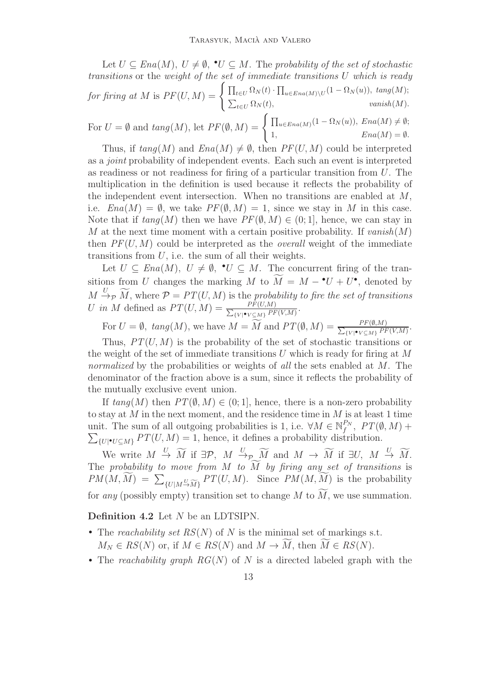Let  $U \subseteq Ena(M), U \neq \emptyset$ ,  $\bullet U \subseteq M$ . The probability of the set of stochastic transitions or the weight of the set of immediate transitions U which is ready for firing at M is  $PF(U, M) = \begin{cases} \prod_{t \in U} \Omega_N(t) \cdot \prod_{u \in Ena(M) \setminus U} (1 - \Omega_N(u)), \; tang(M); \end{cases}$  $\sum_{t\in U} \Omega_N(t)$ , vanish $(M)$ .

For 
$$
U = \emptyset
$$
 and  $tang(M)$ , let  $PF(\emptyset, M) = \begin{cases} \prod_{u \in Ena(M)} (1 - \Omega_N(u)), Ena(M) \neq \emptyset; \\ 1, Ena(M) = \emptyset. \end{cases}$ 

Thus, if  $tanq(M)$  and  $Ena(M) \neq \emptyset$ , then  $PF(U, M)$  could be interpreted as a joint probability of independent events. Each such an event is interpreted as readiness or not readiness for firing of a particular transition from U. The multiplication in the definition is used because it reflects the probability of the independent event intersection. When no transitions are enabled at  $M$ , i.e.  $Ena(M) = \emptyset$ , we take  $PF(\emptyset, M) = 1$ , since we stay in M in this case. Note that if  $tang(M)$  then we have  $PF(\emptyset, M) \in (0, 1]$ , hence, we can stay in M at the next time moment with a certain positive probability. If  $vanish(M)$ then  $PF(U, M)$  could be interpreted as the *overall* weight of the immediate transitions from  $U$ , i.e. the sum of all their weights.

Let  $U \subseteq \text{Ena}(M)$ ,  $U \neq \emptyset$ ,  $\bullet U \subseteq M$ . The concurrent firing of the transitions from U changes the marking M to  $\overline{M} = M - {}^{\bullet}U + U^{\bullet}$ , denoted by  $M \stackrel{U}{\rightarrow} p \widetilde{M}$ , where  $P = PT(U, M)$  is the probability to fire the set of transitions U in M defined as  $PT(U, M) = \frac{PF(U, M)}{\sum_{y \in \mathcal{Y}} P_H(U, M)}$  $\frac{PF(U,M)}{W[\bullet V \subseteq M]}$   $\frac{PF(V,M)}{PF(V,M)}$ .

For  $U = \emptyset$ ,  $tang(M)$ , we have  $M = \widetilde{M}$  and  $PT(\emptyset, M) = \frac{PF(\emptyset, M)}{\sum_{\{V | \bullet V \subseteq M\}} PF(\emptyset, M)}$  $\frac{PF(\varnothing, M)}{W[\mathbf{P}V \subseteq M]} \frac{PF(V, M)}{PF(V, M)}$ .

Thus,  $PT(U, M)$  is the probability of the set of stochastic transitions or the weight of the set of immediate transitions U which is ready for firing at  $M$ normalized by the probabilities or weights of all the sets enabled at M. The denominator of the fraction above is a sum, since it reflects the probability of the mutually exclusive event union.

If  $tan q(M)$  then  $PT(\emptyset, M) \in (0, 1]$ , hence, there is a non-zero probability to stay at  $M$  in the next moment, and the residence time in  $M$  is at least 1 time unit. The sum of all outgoing probabilities is 1, i.e.  $\forall M \in \mathbb{N}_f^{P_N}$ unit. The sum of all outgoing probabilities is 1, i.e.  $\forall M \in \mathbb{N}_f^{P_N}$ ,  $PT(\emptyset, M) + \sum_{\{U | \bullet U \subseteq M\}} PT(U, M) = 1$ , hence, it defines a probability distribution.

We write  $M \stackrel{U}{\rightarrow} \widetilde{M}$  if  $\exists \mathcal{P}, M \stackrel{U}{\rightarrow}_{\mathcal{P}} \widetilde{M}$  and  $M \rightarrow \widetilde{M}$  if  $\exists U, M \stackrel{U}{\rightarrow} \widetilde{M}$ . The probability to move from M to M by firing any set of transitions is  $PM(M, \widetilde{M}) = \sum_{\{U | M \stackrel{U}{\rightarrow} \widetilde{M}\}} PT(U, M)$ . Since  $PM(M, \widetilde{M})$  is the probability for any (possibly empty) transition set to change M to  $\widetilde{M}$ , we use summation.

#### Definition 4.2 Let N be an LDTSIPN.

- The reachability set  $RS(N)$  of N is the minimal set of markings s.t.  $M_N \in RS(N)$  or, if  $M \in RS(N)$  and  $M \to \widetilde{M}$ , then  $\widetilde{M} \in RS(N)$ .
- The reachability graph  $RG(N)$  of N is a directed labeled graph with the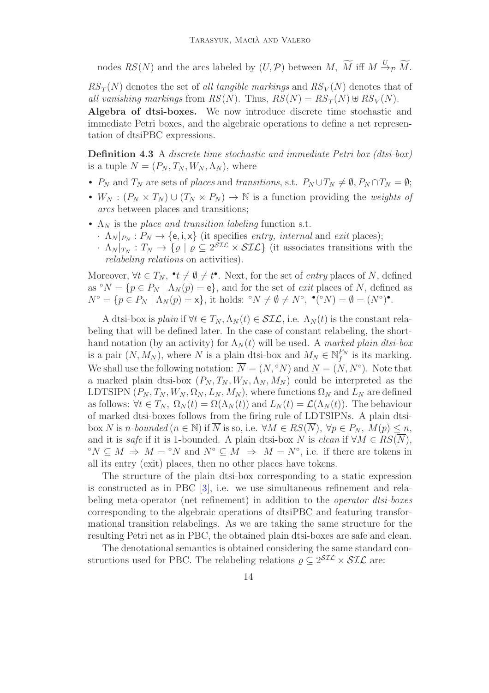nodes  $RS(N)$  and the arcs labeled by  $(U, \mathcal{P})$  between  $M$ ,  $\widetilde{M}$  iff  $M \xrightarrow{U} \widetilde{M}$ .

 $RS_T(N)$  denotes the set of all tangible markings and  $RS_V(N)$  denotes that of all vanishing markings from  $RS(N)$ . Thus,  $RS(N) = RS_T(N) \oplus RS_V(N)$ . Algebra of dtsi-boxes. We now introduce discrete time stochastic and immediate Petri boxes, and the algebraic operations to define a net representation of dtsiPBC expressions.

Definition 4.3 A discrete time stochastic and immediate Petri box (dtsi-box) is a tuple  $N = (P_N, T_N, W_N, \Lambda_N)$ , where

- $P_N$  and  $T_N$  are sets of places and transitions, s.t.  $P_N \cup T_N \neq \emptyset$ ,  $P_N \cap T_N = \emptyset$ ;
- $W_N : (P_N \times T_N) \cup (T_N \times P_N) \to \mathbb{N}$  is a function providing the weights of arcs between places and transitions;
- $\Lambda_N$  is the place and transition labeling function s.t.
	- $\cdot$   $\Lambda_N|_{P_N}: P_N \to \{e, i, x\}$  (it specifies entry, internal and exit places);
	- $\cdot \Lambda_N|_{T_N}: T_N \to {\varrho} \subset 2^{\mathcal{SIL}} \times \mathcal{SIL}$  (it associates transitions with the relabeling relations on activities).

Moreover,  $\forall t \in T_N$ ,  $\mathbf{v}_t \neq \emptyset \neq t^{\bullet}$ . Next, for the set of *entry* places of N, defined as  $\mathcal{O}N = \{p \in P_N \mid \Lambda_N(p) = e\}$ , and for the set of *exit* places of N, defined as  $N^{\circ} = \{p \in P_N \mid \Lambda_N(p) = x\},\$ it holds:  $\mathcal{N} \neq \emptyset \neq N^{\circ}, \bullet(\mathcal{N}) = \emptyset = (N^{\circ})^{\bullet}.$ 

A dtsi-box is plain if  $\forall t \in T_N, \Lambda_N(t) \in \mathcal{SIL}$ , i.e.  $\Lambda_N(t)$  is the constant relabeling that will be defined later. In the case of constant relabeling, the shorthand notation (by an activity) for  $\Lambda_N(t)$  will be used. A marked plain dtsi-box is a pair  $(N, M_N)$ , where N is a plain dtsi-box and  $M_N \in \mathbb{N}_f^{P_N}$  is its marking. We shall use the following notation:  $\overline{N} = (N, \degree N)$  and  $\underline{N} = (N, N^{\degree})$ . Note that a marked plain dtsi-box  $(P_N, T_N, W_N, \Lambda_N, M_N)$  could be interpreted as the LDTSIPN  $(P_N, T_N, W_N, \Omega_N, L_N, M_N)$ , where functions  $\Omega_N$  and  $L_N$  are defined as follows:  $\forall t \in T_N$ ,  $\Omega_N(t) = \Omega(\Lambda_N(t))$  and  $L_N(t) = \mathcal{L}(\Lambda_N(t))$ . The behaviour of marked dtsi-boxes follows from the firing rule of LDTSIPNs. A plain dtsibox N is n-bounded  $(n \in \mathbb{N})$  if  $\overline{N}$  is so, i.e.  $\forall M \in RS(\overline{N}), \forall p \in P_N, M(p) \leq n$ , and it is safe if it is 1-bounded. A plain dtsi-box N is clean if  $\forall M \in RS(\overline{N})$ , ° $N \subseteq M \Rightarrow M =$ °N and  $N$ °  $\subseteq M \Rightarrow M = N$ °, i.e. if there are tokens in all its entry (exit) places, then no other places have tokens.

The structure of the plain dtsi-box corresponding to a static expression is constructed as in PBC [\[3\]](#page-24-11), i.e. we use simultaneous refinement and relabeling meta-operator (net refinement) in addition to the *operator dtsi-boxes* corresponding to the algebraic operations of dtsiPBC and featuring transformational transition relabelings. As we are taking the same structure for the resulting Petri net as in PBC, the obtained plain dtsi-boxes are safe and clean.

The denotational semantics is obtained considering the same standard constructions used for PBC. The relabeling relations  $\rho \subseteq 2^{STL} \times STL$  are: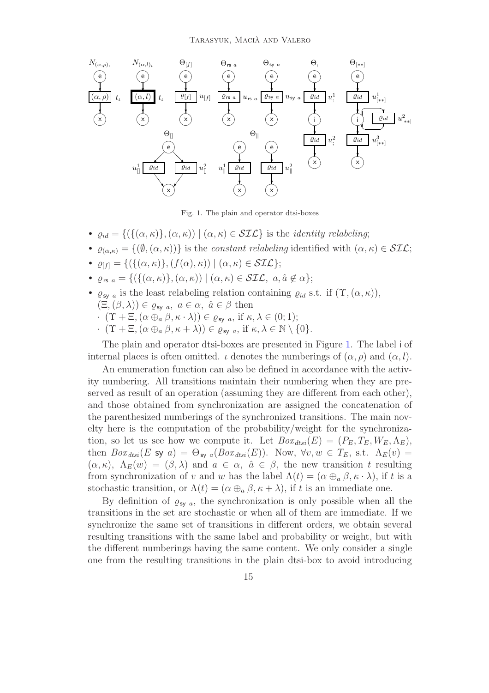

<span id="page-14-0"></span>Fig. 1. The plain and operator dtsi-boxes

- $\varrho_{id} = \{ (\{(\alpha, \kappa), (\alpha, \kappa)) \mid (\alpha, \kappa) \in \mathcal{SIL} \}$  is the *identity relabeling*;
- $\varrho_{(\alpha,\kappa)} = \{(\emptyset,(\alpha,\kappa))\}$  is the *constant relabeling* identified with  $(\alpha,\kappa) \in \mathcal{SIL}$ ;
- $\varrho_{[f]} = \{ (\{(\alpha,\kappa)\},(f(\alpha),\kappa)) \mid (\alpha,\kappa) \in \mathcal{SL} \};$
- $\varrho_{rs\ a} = \{ (\{ (\alpha, \kappa) \}, (\alpha, \kappa)) \mid (\alpha, \kappa) \in \mathcal{SIL}, \ a, \hat{a} \notin \alpha \};$
- $\varrho_{\text{sy } a}$  is the least relabeling relation containing  $\varrho_{id}$  s.t. if  $(\Upsilon, (\alpha, \kappa))$ ,  $(\Xi,(\beta,\lambda)) \in \varrho_{\text{sy }a}, a \in \alpha, \hat{a} \in \beta \text{ then}$ 
	- $\cdot$   $(\Upsilon + \Xi, (\alpha \oplus_{a} \beta, \kappa \cdot \lambda)) \in \varrho_{\text{sy } a}$ , if  $\kappa, \lambda \in (0,1);$
	- $\cdot$   $(\Upsilon + \Xi, (\alpha \oplus_{a} \beta, \kappa + \lambda)) \in \varrho_{\text{sv } a}$ , if  $\kappa, \lambda \in \mathbb{N} \setminus \{0\}.$

The plain and operator dtsi-boxes are presented in Figure [1.](#page-14-0) The label i of internal places is often omitted.  $\iota$  denotes the numberings of  $(\alpha, \rho)$  and  $(\alpha, l)$ .

An enumeration function can also be defined in accordance with the activity numbering. All transitions maintain their numbering when they are preserved as result of an operation (assuming they are different from each other), and those obtained from synchronization are assigned the concatenation of the parenthesized numberings of the synchronized transitions. The main novelty here is the computation of the probability/weight for the synchronization, so let us see how we compute it. Let  $Box_{dtsi}(E) = (P_E, T_E, W_E, \Lambda_E),$ then  $Box_{dtsi}(E \text{ sy } a) = \Theta_{\text{sy } a}(Box_{dtsi}(E))$ . Now,  $\forall v, w \in T_E$ , s.t.  $\Lambda_E(v) =$  $(\alpha, \kappa)$ ,  $\Lambda_E(w) = (\beta, \lambda)$  and  $a \in \alpha$ ,  $\hat{a} \in \beta$ , the new transition t resulting from synchronization of v and w has the label  $\Lambda(t) = (\alpha \oplus_{\alpha} \beta, \kappa \cdot \lambda)$ , if t is a stochastic transition, or  $\Lambda(t) = (\alpha \oplus_{\alpha} \beta, \kappa + \lambda)$ , if t is an immediate one.

By definition of  $\varrho_{\text{sv } a}$ , the synchronization is only possible when all the transitions in the set are stochastic or when all of them are immediate. If we synchronize the same set of transitions in different orders, we obtain several resulting transitions with the same label and probability or weight, but with the different numberings having the same content. We only consider a single one from the resulting transitions in the plain dtsi-box to avoid introducing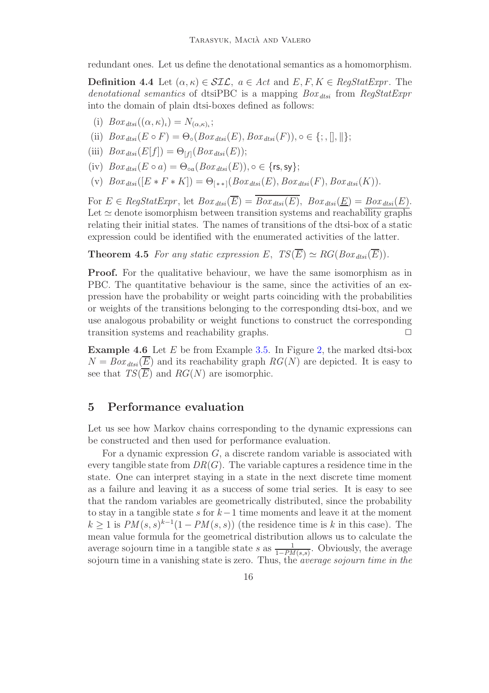redundant ones. Let us define the denotational semantics as a homomorphism.

**Definition 4.4** Let  $(\alpha, \kappa) \in \mathcal{SIL}$ ,  $a \in Act$  and  $E, F, K \in RegStatExpr$ . The denotational semantics of dtsiPBC is a mapping  $Box_{dist}$  from  $RegStatExpr$ into the domain of plain dtsi-boxes defined as follows:

- (i)  $Box_{dtsi}((\alpha,\kappa)_{\iota})=N_{(\alpha,\kappa)_{\iota}};$
- (ii)  $Box_{dtsi}(E \circ F) = \Theta_{\circ}(Box_{dtsi}(E),Box_{dtsi}(F)), \circ \in \{; , \|, \| \};$
- (iii)  $Box_{dtsi}(E[f]) = \Theta_{[f]}(Box_{dtsi}(E));$
- (iv)  $Box_{dtsi}(E \circ a) = \Theta_{oa}(Box_{dtsi}(E))$ ,  $\circ \in \{rs, sy\}$ ;
- (v)  $Box_{dtsi}([E * F * K]) = \Theta_{[**]}(Box_{dtsi}(E),Box_{dtsi}(F),Box_{dtsi}(K)).$

For  $E \in \text{RegStatexpr}$ , let  $\text{Box}_{\text{dtsi}}(\overline{E}) = \overline{\text{Box}_{\text{dtsi}}(E)}$ ,  $\text{Box}_{\text{dtsi}}(\underline{E}) = \text{Box}_{\text{dtsi}}(E)$ . Let  $\simeq$  denote isomorphism between transition systems and reachability graphs relating their initial states. The names of transitions of the dtsi-box of a static expression could be identified with the enumerated activities of the latter.

<span id="page-15-1"></span>**Theorem 4.5** For any static expression E,  $TS(\overline{E}) \simeq RG(Box_{dtsi}(\overline{E}))$ .

**Proof.** For the qualitative behaviour, we have the same isomorphism as in PBC. The quantitative behaviour is the same, since the activities of an expression have the probability or weight parts coinciding with the probabilities or weights of the transitions belonging to the corresponding dtsi-box, and we use analogous probability or weight functions to construct the corresponding transition systems and reachability graphs.  $\Box$ 

**Example 4.6** Let  $E$  be from Example [3.5.](#page-10-1) In Figure [2,](#page-16-0) the marked dtsi-box  $N = Box_{dtsi}(\overline{E})$  and its reachability graph  $RG(N)$  are depicted. It is easy to see that  $TS(\overline{E})$  and  $RG(N)$  are isomorphic.

## <span id="page-15-0"></span>5 Performance evaluation

Let us see how Markov chains corresponding to the dynamic expressions can be constructed and then used for performance evaluation.

For a dynamic expression  $G$ , a discrete random variable is associated with every tangible state from  $DR(G)$ . The variable captures a residence time in the state. One can interpret staying in a state in the next discrete time moment as a failure and leaving it as a success of some trial series. It is easy to see that the random variables are geometrically distributed, since the probability to stay in a tangible state s for  $k-1$  time moments and leave it at the moment  $k \geq 1$  is  $PM(s, s)^{k-1}(1 - PM(s, s))$  (the residence time is k in this case). The mean value formula for the geometrical distribution allows us to calculate the average sojourn time in a tangible state s as  $\frac{1}{1 - PM(s,s)}$ . Obviously, the average sojourn time in a vanishing state is zero. Thus, the *average sojourn time in the*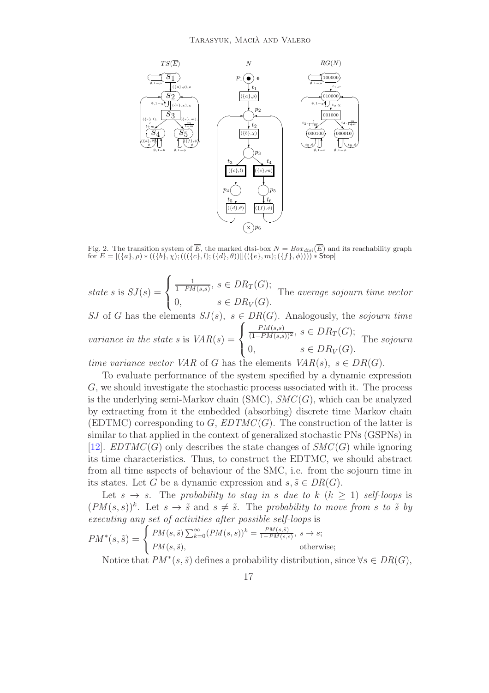

<span id="page-16-0"></span>Fig. 2. The transition system of  $\overline{E}$ , the marked dtsi-box  $N = Box_{dtsi}(\overline{E})$  and its reachability graph  ${\rm for}\,\,E=[(\{a\},\rho)*((\{b\},\chi);(((\{c\},l);(\{d\},\theta))]]((\{e\},m);(\{f\},\phi)))$)$ \* Stop]

state s is  $SJ(s) =$  $\sqrt{ }$  $\frac{1}{2}$  $\mathcal{L}$ 1  $\frac{1}{1-PM(s,s)}, s \in DR_T(G);$ 0,  $s \in DR_V(G)$ . The average sojourn time vector

SJ of G has the elements  $SJ(s)$ ,  $s \in DR(G)$ . Analogously, the sojourn time variance in the state s is  $VAR(s)$  =  $\sqrt{ }$  $\frac{1}{2}$  $\mathbf{I}$  $\frac{PM(s,s)}{(1-PM(s,s))^2}, s \in DR_T(G);$ 0,  $s \in DR_V(G)$ . The sojourn

time variance vector VAR of G has the elements  $VAR(s), s \in DR(G)$ .

To evaluate performance of the system specified by a dynamic expression G, we should investigate the stochastic process associated with it. The process is the underlying semi-Markov chain (SMC),  $SMC(G)$ , which can be analyzed by extracting from it the embedded (absorbing) discrete time Markov chain (EDTMC) corresponding to G,  $EDTMC(G)$ . The construction of the latter is similar to that applied in the context of generalized stochastic PNs (GSPNs) in [\[12\]](#page-24-14).  $EDTMC(G)$  only describes the state changes of  $SMC(G)$  while ignoring its time characteristics. Thus, to construct the EDTMC, we should abstract from all time aspects of behaviour of the SMC, i.e. from the sojourn time in its states. Let G be a dynamic expression and  $s, \tilde{s} \in DR(G)$ .

Let  $s \to s$ . The probability to stay in s due to k  $(k > 1)$  self-loops is  $(PM(s, s))^k$ . Let  $s \to \tilde{s}$  and  $s \neq \tilde{s}$ . The probability to move from s to  $\tilde{s}$  by executing any set of activities after possible self-loops is

$$
PM^*(s, \tilde{s}) = \begin{cases} PM(s, \tilde{s}) \sum_{k=0}^{\infty} (PM(s, s))^k = \frac{PM(s, \tilde{s})}{1 - PM(s, s)}, & s \to s; \\ PM(s, \tilde{s}), & \text{otherwise}; \end{cases}
$$

Notice that  $PM^*(s, \tilde{s})$  defines a probability distribution, since  $\forall s \in DR(G)$ ,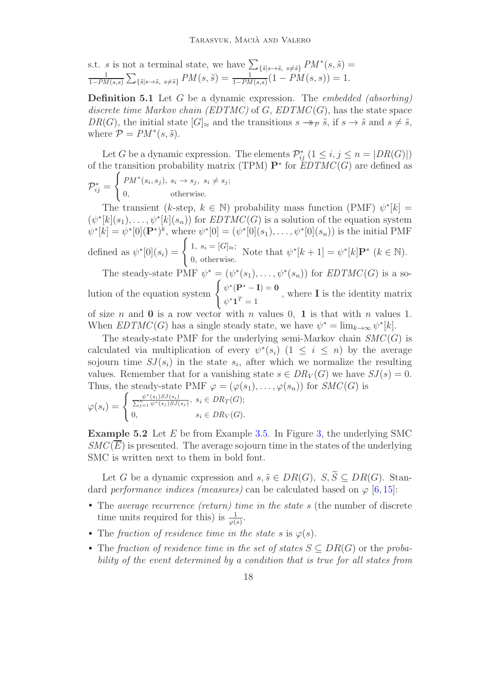s.t. *s* is not a terminal state, we have 
$$
\sum_{\{\tilde{s}|s\to\tilde{s}, s\neq\tilde{s}\}} PM^*(s, \tilde{s}) = \frac{1}{1-PM(s,s)} \sum_{\{\tilde{s}|s\to\tilde{s}, s\neq\tilde{s}\}} PM(s, \tilde{s}) = \frac{1}{1-PM(s,s)}(1-PM(s,s)) = 1.
$$

**Definition 5.1** Let G be a dynamic expression. The *embedded (absorbing)* discrete time Markov chain (EDTMC) of G,  $EDTMC(G)$ , has the state space  $DR(G)$ , the initial state  $|G|_{\approx}$  and the transitions  $s \rightarrow_{\mathcal{P}} \tilde{s}$ , if  $s \rightarrow \tilde{s}$  and  $s \neq \tilde{s}$ , where  $\mathcal{P} = PM^*(s, \tilde{s})$ .

Let G be a dynamic expression. The elements  $\mathcal{P}_{ij}^*$   $(1 \leq i, j \leq n = |DR(G)|)$ of the transition probability matrix (TPM)  $\mathbf{P}^*$  for  $\text{EDTMC}(G)$  are defined as

$$
\mathcal{P}_{ij}^* = \begin{cases} PM^*(s_i, s_j), & s_i \to s_j, \ s_i \neq s_j; \\ 0, & \text{otherwise.} \end{cases}
$$

The transient (k-step,  $k \in \mathbb{N}$ ) probability mass function (PMF)  $\psi^*[k] =$  $(\psi^*[k](s_1), \ldots, \psi^*[k](s_n))$  for  $EDTMC(G)$  is a solution of the equation system  $\psi^*[k] = \psi^*[0](\mathbf{P}^*)^k$ , where  $\psi^*[0] = (\psi^*[0](s_1), \dots, \psi^*[0](s_n))$  is the initial PMF defined as  $\psi^*[0](s_i) = \begin{cases} 1, s_i = [G]_{\approx}; \\ 0, \dots, \end{cases}$ 0, otherwise. Note that  $\psi^*[k+1] = \psi^*[k] \mathbf{P}^*$   $(k \in \mathbb{N})$ .

The steady-state PMF  $\psi^* = (\psi^*(s_1), \dots, \psi^*(s_n))$  for  $EDTMC(G)$  is a solution of the equation system  $\begin{cases} \psi^*(\mathbf{P}^* - \mathbf{I}) = \mathbf{0} \end{cases}$  $\psi^* \mathbf{1}^T = 1$ , where I is the identity matrix of size n and **0** is a row vector with n values 0, **1** is that with n values 1.

When  $EDTMC(G)$  has a single steady state, we have  $\psi^* = \lim_{k \to \infty} \psi^*[k]$ .

The steady-state PMF for the underlying semi-Markov chain  $SMC(G)$  is calculated via multiplication of every  $\psi^*(s_i)$  (1  $\leq i \leq n$ ) by the average sojourn time  $SJ(s_i)$  in the state  $s_i$ , after which we normalize the resulting values. Remember that for a vanishing state  $s \in DR_V(G)$  we have  $SJ(s) = 0$ . Thus, the steady-state PMF  $\varphi = (\varphi(s_1), \ldots, \varphi(s_n))$  for  $SMC(G)$  is

$$
\varphi(s_i) = \begin{cases} \frac{\psi^*(s_i)SJ(s_i)}{\sum_{j=1}^n \psi^*(s_j)SJ(s_j)}, \ s_i \in DR_T(G); \\ 0, \qquad \qquad s_i \in DR_V(G). \end{cases}
$$

**Example 5.2** Let  $E$  be from Example [3.5.](#page-10-1) In Figure [3,](#page-18-0) the underlying SMC  $SMC(E)$  is presented. The average sojourn time in the states of the underlying SMC is written next to them in bold font.

Let G be a dynamic expression and  $s, \tilde{s} \in DR(G), S, \tilde{S} \subseteq DR(G)$ . Standard *performance indices (measures)* can be calculated based on  $\varphi$  [\[6,](#page-24-15)[15\]](#page-24-16):

- The average recurrence (return) time in the state s (the number of discrete time units required for this) is  $\frac{1}{\varphi(s)}$ .
- The fraction of residence time in the state s is  $\varphi(s)$ .
- The fraction of residence time in the set of states  $S \subseteq DR(G)$  or the probability of the event determined by a condition that is true for all states from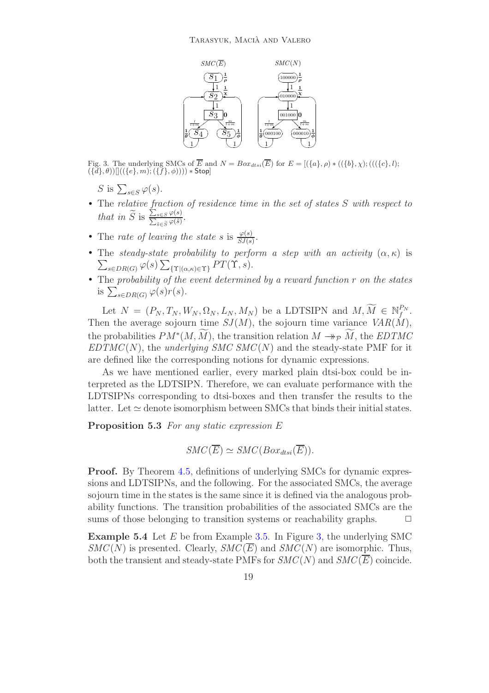

Fig. 3. The underlying SMCs of  $\overline{E}$  and  $N = Box_{dtsi}(\overline{E})$  for  $E = [(\{a\}, \rho) * ((\{b\}, \chi) ; (((\{c\}, l);$  $(\{\breve{d}\}, \theta)) [ \left( (\{e\}, m), \breve{(\{f\}, \phi)} ) \right) ) * \textsf{Stop} ]$ 

- <span id="page-18-0"></span>S is  $\sum_{s\in S}\varphi(s)$ .
- The relative fraction of residence time in the set of states S with respect to that in  $\widetilde{S}$  is  $\frac{\sum_{s \in S} \varphi(s)}{\sum_{\tilde{s} \in \tilde{S}} \varphi(\tilde{s})}$ .
- The rate of leaving the state s is  $\frac{\varphi(s)}{SJ(s)}$ .
- The steady-state probability to perform a step with an activity  $(\alpha, \kappa)$  is  $\sum_{s \in DR(G)} \varphi(s) \sum_{\{\Upsilon | (\alpha,\kappa) \in \Upsilon\}} PT(\Upsilon, s).$
- The probability of the event determined by a reward function r on the states is  $\sum_{s \in DR(G)} \varphi(s)r(s)$ .

Let  $N = (P_N, T_N, W_N, \Omega_N, L_N, M_N)$  be a LDTSIPN and  $M, \widetilde{M} \in \mathbb{N}_{f}^{P_N}$ . Then the average sojourn time  $SJ(M)$ , the sojourn time variance  $VAR(M)$ , the probabilities  $PM^*(M, M)$ , the transition relation  $M \to_{\mathcal{P}} M$ , the  $EDTMC$  $EDTMC(N)$ , the *underlying SMC SMC(N)* and the steady-state PMF for it are defined like the corresponding notions for dynamic expressions.

As we have mentioned earlier, every marked plain dtsi-box could be interpreted as the LDTSIPN. Therefore, we can evaluate performance with the LDTSIPNs corresponding to dtsi-boxes and then transfer the results to the latter. Let  $\simeq$  denote isomorphism between SMCs that binds their initial states.

Proposition 5.3 For any static expression E

$$
SMC(\overline{E}) \simeq SMC(Box_{dtsi}(\overline{E})).
$$

Proof. By Theorem [4.5,](#page-15-1) definitions of underlying SMCs for dynamic expressions and LDTSIPNs, and the following. For the associated SMCs, the average sojourn time in the states is the same since it is defined via the analogous probability functions. The transition probabilities of the associated SMCs are the sums of those belonging to transition systems or reachability graphs.  $\Box$ 

**Example 5.4** Let  $E$  be from Example [3.5.](#page-10-1) In Figure [3,](#page-18-0) the underlying SMC  $SMC(N)$  is presented. Clearly,  $SMC(\overline{E})$  and  $SMC(N)$  are isomorphic. Thus, both the transient and steady-state PMFs for  $SMC(N)$  and  $SMC(\overline{E})$  coincide.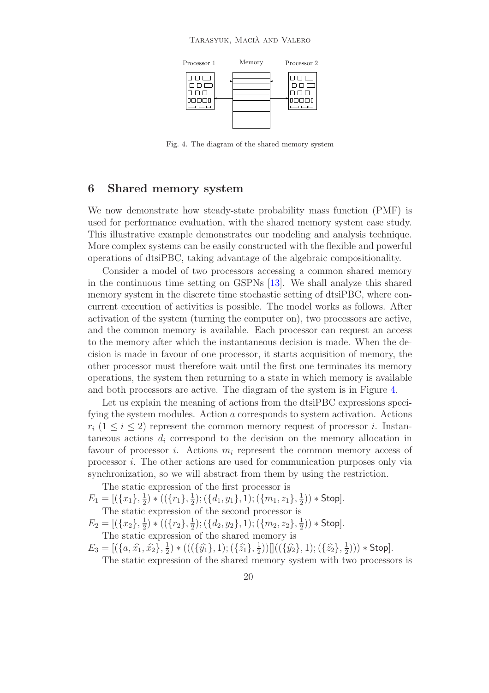

<span id="page-19-1"></span>Fig. 4. The diagram of the shared memory system

### <span id="page-19-0"></span>6 Shared memory system

We now demonstrate how steady-state probability mass function (PMF) is used for performance evaluation, with the shared memory system case study. This illustrative example demonstrates our modeling and analysis technique. More complex systems can be easily constructed with the flexible and powerful operations of dtsiPBC, taking advantage of the algebraic compositionality.

Consider a model of two processors accessing a common shared memory in the continuous time setting on GSPNs [\[13\]](#page-24-17). We shall analyze this shared memory system in the discrete time stochastic setting of dtsiPBC, where concurrent execution of activities is possible. The model works as follows. After activation of the system (turning the computer on), two processors are active, and the common memory is available. Each processor can request an access to the memory after which the instantaneous decision is made. When the decision is made in favour of one processor, it starts acquisition of memory, the other processor must therefore wait until the first one terminates its memory operations, the system then returning to a state in which memory is available and both processors are active. The diagram of the system is in Figure [4.](#page-19-1)

Let us explain the meaning of actions from the dtsiPBC expressions specifying the system modules. Action a corresponds to system activation. Actions  $r_i$   $(1 \leq i \leq 2)$  represent the common memory request of processor i. Instantaneous actions  $d_i$  correspond to the decision on the memory allocation in favour of processor *i*. Actions  $m_i$  represent the common memory access of processor i. The other actions are used for communication purposes only via synchronization, so we will abstract from them by using the restriction.

The static expression of the first processor is

- $E_1 = [(\{x_1\}, \frac{1}{2})]$  $(\{r_1\},\frac{1}{2})$  $(\{d_1,y_1\},1); (\{m_1,z_1\},\frac{1}{2})$  $(\frac{1}{2})$   $*$  Stop].
	- The static expression of the second processor is
- $E_2 = [(\{x_2\}, \frac{1}{2}]$  $(\{r_2\},\frac{1}{2})$  $(\{d_2,y_2\},1); (\{m_2,z_2\},\frac{1}{2})$  $(\frac{1}{2})$   $*$  Stop].
	- The static expression of the shared memory is
- $E_3 = [(\{a, \hat{x_1}, \hat{x_2}\}, \frac{1}{2})$  $(\{\widehat{y_1}\},1); (\{\widehat{z_1}\},\frac{1}{2})$  $(\{\hat{y}_2\}, 1); (\{\hat{z}_2\}, \frac{1}{2})$  $(\frac{1}{2}))) *$  Stop].

The static expression of the shared memory system with two processors is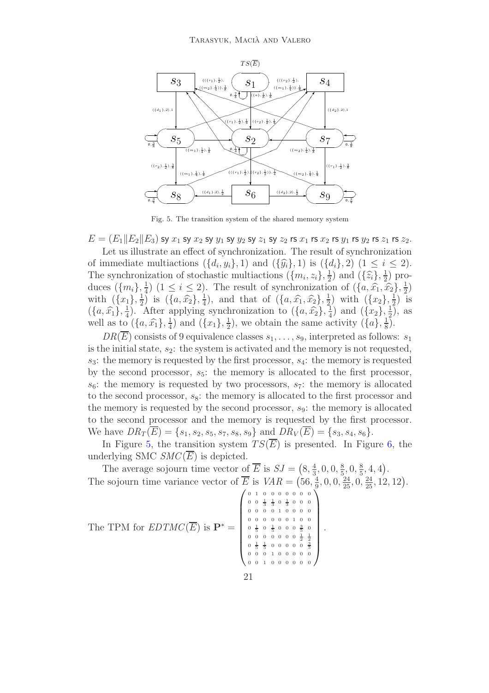

<span id="page-20-0"></span>Fig. 5. The transition system of the shared memory system

 $E = (E_1||E_2||E_3)$  sy  $x_1$  sy  $x_2$  sy  $y_1$  sy  $y_2$  sy  $z_1$  sy  $z_2$  rs  $x_1$  rs  $x_2$  rs  $y_1$  rs  $y_2$  rs  $z_1$  rs  $z_2$ .

Let us illustrate an effect of synchronization. The result of synchronization of immediate multiactions  $({d_i}, y_i), 1)$  and  $({\hat{y}_i}, 1)$  is  $({d_i}, 2)$   $(1 \le i \le 2)$ . The synchronization of stochastic multiactions  $(\{m_i, z_i\}, \frac{1}{2})$  $(\widehat{z_i}, \frac{1}{2})$  and  $(\widehat{z_i}, \frac{1}{2})$  $(\frac{1}{2})$  produces  $(\{m_i\},\frac{1}{4})$  $\frac{1}{4}$ )  $(1 \leq i \leq 2)$ . The result of synchronization of  $(\lbrace a, \hat{x}_1, \hat{x}_2 \rbrace, \frac{1}{2})$  $(\frac{1}{2})$ with  $(\lbrace x_1 \rbrace, \frac{1}{2}$  $\frac{1}{2}$ ) is  $({a}, \hat{x_2}, \frac{1}{4})$  $(\{a, \hat{x}_1, \hat{x}_2\}, \frac{1}{2})$  $(\{x_2\}, \frac{1}{2})$  with  $(\{x_2\}, \frac{1}{2})$  $(\frac{1}{2})$  is  $(\{a, \hat{x_1}\}, \frac{1}{4})$ <sup>1</sup>/<sub>4</sub>. After applying synchronization to  $(\lbrace a, \hat{x}_2 \rbrace, \frac{1}{4})$  $(\frac{1}{4})$  and  $(\frac{x_2}{2}, \frac{1}{2})$  $(\frac{1}{2})$ , as well as to  $(\{a, \hat{x_1}\}, \frac{1}{4})$  $\frac{1}{4}$ ) and  $(\{x_1\},\frac{1}{2})$  $\frac{1}{2}$ ), we obtain the same activity  $(\{a\},\frac{1}{8})$  $\frac{1}{8}$ .

 $DR(\overline{E})$  consists of 9 equivalence classes  $s_1, \ldots, s_9$ , interpreted as follows:  $s_1$ is the initial state,  $s_2$ : the system is activated and the memory is not requested,  $s_3$ : the memory is requested by the first processor,  $s_4$ : the memory is requested by the second processor,  $s_5$ : the memory is allocated to the first processor,  $s<sub>6</sub>$ : the memory is requested by two processors,  $s<sub>7</sub>$ : the memory is allocated to the second processor,  $s_8$ : the memory is allocated to the first processor and the memory is requested by the second processor,  $s_9$ : the memory is allocated to the second processor and the memory is requested by the first processor. We have  $DR_T(\overline{E}) = \{s_1, s_2, s_5, s_7, s_8, s_9\}$  and  $DR_V(\overline{E}) = \{s_3, s_4, s_6\}.$ 

In Figure [5,](#page-20-0) the transition system  $TS(\overline{E})$  is presented. In Figure [6,](#page-21-0) the underlying SMC  $SMC(\overline{E})$  is depicted.

The average sojourn time vector of  $\overline{E}$  is  $SJ = \left(8, \frac{4}{3}\right)$  $\frac{4}{3}, 0, 0, \frac{8}{5}$  $\frac{8}{5}$ , 0,  $\frac{8}{5}$  $\frac{8}{5}$ , 4, 4). The sojourn time variance vector of  $\overline{E}$  is  $VAR = (56, \frac{4}{9})$  $\frac{4}{9}, 0, 0, \frac{24}{25}, 0, \frac{24}{25}, 12, 12$ .  $\begin{pmatrix} 0 & 1 & 0 & 0 & 0 & 0 & 0 & 0 & 0 \end{pmatrix}$ 0 1 0 0 0 0 0 0 0

0 0  $\frac{1}{3}$   $\frac{1}{3}$  0  $\frac{1}{3}$  0 0 0

 .

The TPM for  $\mathit{EDTMC}(\overline E)$  is  $\mathbf P^*=$  0 0 0 0 1 0 0 0 0 0 0 0 0 0 0 1 0 0  $0 \frac{1}{5}$   $0 \frac{1}{5}$  0 0 0  $\frac{3}{5}$  0 0 0 0 0 0 0 0  $\frac{1}{2}$   $\frac{1}{2}$ <br>0  $\frac{1}{5}$   $\frac{1}{5}$  0 0 0 0 0  $\frac{3}{5}$  $\begin{smallmatrix}&&&\text{\color{red}&0}\\\text{\color{red}&0&0&0&0\end{smallmatrix}$ 0 0 1 0 0 0 0 0 0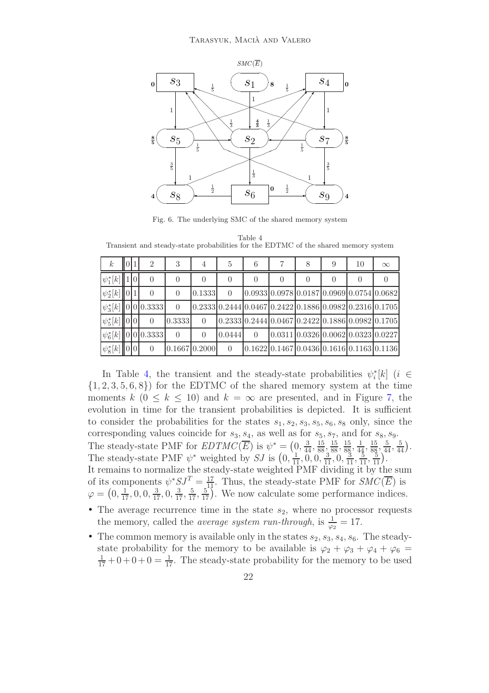

<span id="page-21-0"></span>Fig. 6. The underlying SMC of the shared memory system

Table 4 Transient and steady-state probabilities for the EDTMC of the shared memory system

<span id="page-21-1"></span>

| $\kappa$            | HO E1                                   | 2                               | 3        | 4               | 5                                                         | 6        |                                                                                        | 8 | 9                | 10 | $\infty$ |
|---------------------|-----------------------------------------|---------------------------------|----------|-----------------|-----------------------------------------------------------|----------|----------------------------------------------------------------------------------------|---|------------------|----|----------|
| $\psi_1^*[k]$       | $\parallel$ 1 $\parallel$ 0 $\parallel$ | $\overline{0}$                  | 0        | $\theta$        | $\theta$                                                  |          | $\Omega$                                                                               | 0 | $\left( \right)$ |    |          |
| $\psi_2^*[k]$       | $\vert \vert 0 \vert 1$                 | $\overline{0}$                  | $\Omega$ | 0.1333          | $\Omega$                                                  |          | $[0.0933] 0.0978] 0.0187] 0.0969] 0.0754] 0.0682$                                      |   |                  |    |          |
| $\psi_3^*[k]$       |                                         | 0 0 0.3333                      | $\Omega$ |                 | $0.2333 0.2444 0.0467 0.2422 0.1886 0.0982 0.2316 0.1705$ |          |                                                                                        |   |                  |    |          |
| $\psi_5^*[k]$       | 0 0                                     | $\Omega$                        | 0.3333   | $\overline{0}$  |                                                           |          | $0.2333 \cdot 0.2444 \cdot 0.0467 \cdot 0.2422 \cdot 0.1886 \cdot 0.0982 \cdot 0.1705$ |   |                  |    |          |
|                     |                                         | $\psi_6^*[k]$   0   0   0 .3333 | $\Omega$ | $\theta$        | 0.0444                                                    | $\Omega$ | $[0.0311] 0.0326] 0.0062] 0.0323] 0.0227$                                              |   |                  |    |          |
| $ \psi_8^*[k] 0 0 $ |                                         | $\Omega$                        |          | $0.1667$ 0.2000 | $\Omega$                                                  |          | $[0.1622] 0.1467] 0.0436] 0.1616] 0.1163] 0.1136$                                      |   |                  |    |          |

In Table [4,](#page-21-1) the transient and the steady-state probabilities  $\psi_i^*[k]$  ( $i \in$  $\{1, 2, 3, 5, 6, 8\}$  for the EDTMC of the shared memory system at the time moments k  $(0 \leq k \leq 10)$  and  $k = \infty$  are presented, and in Figure [7,](#page-22-1) the evolution in time for the transient probabilities is depicted. It is sufficient to consider the probabilities for the states  $s_1, s_2, s_3, s_5, s_6, s_8$  only, since the corresponding values coincide for  $s_3$ ,  $s_4$ , as well as for  $s_5$ ,  $s_7$ , and for  $s_8$ ,  $s_9$ . The steady-state PMF for  $EDTMC(\overline{E})$  is  $\psi^* = \left(0, \frac{3}{44}, \frac{15}{88}, \frac{15}{88}, \frac{15}{88}, \frac{1}{44}, \frac{15}{88}, \frac{5}{44}, \frac{5}{44}\right)$ . The steady-state PMF  $\psi^*$  weighted by SJ is  $(0, \frac{1}{11}, 0, 0, \frac{3}{11}, 0, \frac{3}{11}, \frac{3}{11}, \frac{3}{11}, \frac{3}{11})$ . It remains to normalize the steady-state weighted PMF dividing it by the sum of its components  $\psi^* S J^T = \frac{17}{11}$ . Thus, the steady-state PMF for  $SMC(\overline{E})$  is

 $\varphi = \left(0, \frac{1}{17}, 0, 0, \frac{3}{17}, 0, \frac{3}{17}, \frac{5}{17}, \frac{5}{17}\right)$ . We now calculate some performance indices.

- The average recurrence time in the state  $s_2$ , where no processor requests the memory, called the *average system run-through*, is  $\frac{1}{\varphi_2} = 17$ .
- The common memory is available only in the states  $s_2, s_3, s_4, s_6$ . The steadystate probability for the memory to be available is  $\varphi_2 + \varphi_3 + \varphi_4 + \varphi_6 =$  $\frac{1}{17} + 0 + 0 + 0 = \frac{1}{17}$ . The steady-state probability for the memory to be used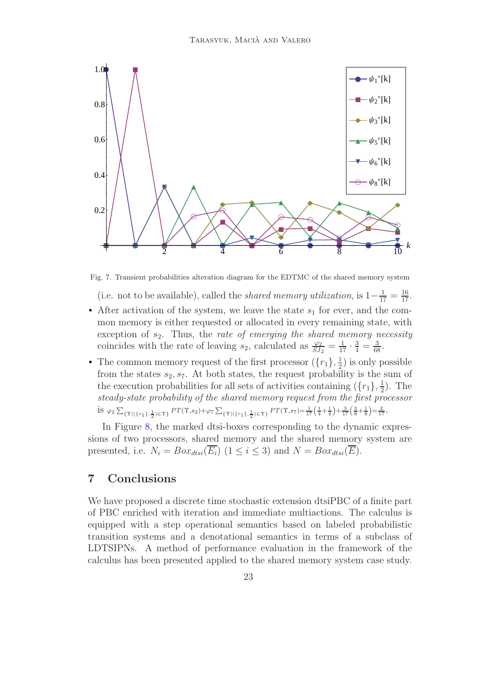

Fig. 7. Transient probabilities alteration diagram for the EDTMC of the shared memory system

<span id="page-22-1"></span>(i.e. not to be available), called the *shared memory utilization*, is  $1 - \frac{1}{17} = \frac{16}{17}$ .

- After activation of the system, we leave the state  $s_1$  for ever, and the common memory is either requested or allocated in every remaining state, with exception of  $s_2$ . Thus, the rate of emerging the shared memory necessity coincides with the rate of leaving  $s_2$ , calculated as  $\frac{\varphi_2}{SJ_2} = \frac{1}{17} \cdot \frac{3}{4} = \frac{3}{68}$ .
- The common memory request of the first processor  $(\lbrace r_1 \rbrace, \frac{1}{2})$  $(\frac{1}{2})$  is only possible from the states  $s_2$ ,  $s_7$ . At both states, the request probability is the sum of the execution probabilities for all sets of activities containing  $({r_1}, \frac{1}{2})$  $\frac{1}{2}$ ). The steady-state probability of the shared memory request from the first processor is  $\varphi_2$   $\Sigma$  ${T|({r_1},\frac{1}{2}) \in \Upsilon}$   $PT(\Upsilon,s_2)+\varphi_7 \sum$  ${\rm Tr}((r_1), \frac{1}{2}) \in \Upsilon$   $PT(\Upsilon, s_7) = \frac{1}{17} (\frac{1}{4} + \frac{1}{4}) + \frac{3}{17} (\frac{3}{8} + \frac{1}{8}) = \frac{2}{17}$ .

In Figure [8,](#page-23-0) the marked dtsi-boxes corresponding to the dynamic expressions of two processors, shared memory and the shared memory system are presented, i.e.  $N_i = Box_{dtsi}(\overline{E_i})$  ( $1 \leq i \leq 3$ ) and  $N = Box_{dtsi}(\overline{E}).$ 

## <span id="page-22-0"></span>7 Conclusions

We have proposed a discrete time stochastic extension dtsiPBC of a finite part of PBC enriched with iteration and immediate multiactions. The calculus is equipped with a step operational semantics based on labeled probabilistic transition systems and a denotational semantics in terms of a subclass of LDTSIPNs. A method of performance evaluation in the framework of the calculus has been presented applied to the shared memory system case study.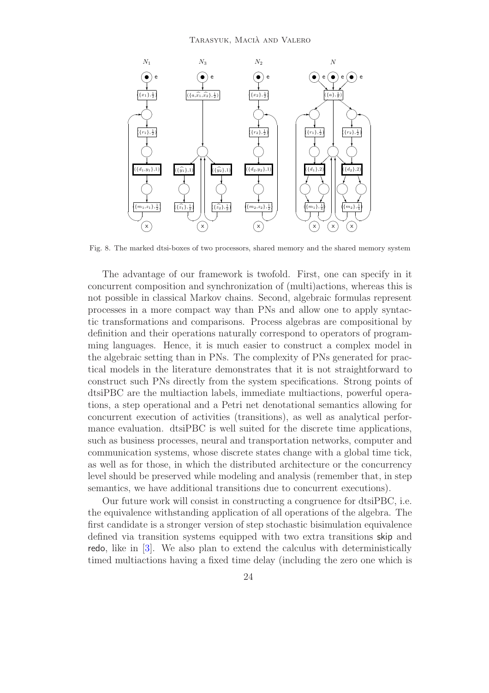

<span id="page-23-0"></span>Fig. 8. The marked dtsi-boxes of two processors, shared memory and the shared memory system

The advantage of our framework is twofold. First, one can specify in it concurrent composition and synchronization of (multi)actions, whereas this is not possible in classical Markov chains. Second, algebraic formulas represent processes in a more compact way than PNs and allow one to apply syntactic transformations and comparisons. Process algebras are compositional by definition and their operations naturally correspond to operators of programming languages. Hence, it is much easier to construct a complex model in the algebraic setting than in PNs. The complexity of PNs generated for practical models in the literature demonstrates that it is not straightforward to construct such PNs directly from the system specifications. Strong points of dtsiPBC are the multiaction labels, immediate multiactions, powerful operations, a step operational and a Petri net denotational semantics allowing for concurrent execution of activities (transitions), as well as analytical performance evaluation. dtsiPBC is well suited for the discrete time applications, such as business processes, neural and transportation networks, computer and communication systems, whose discrete states change with a global time tick, as well as for those, in which the distributed architecture or the concurrency level should be preserved while modeling and analysis (remember that, in step semantics, we have additional transitions due to concurrent executions).

Our future work will consist in constructing a congruence for dtsiPBC, i.e. the equivalence withstanding application of all operations of the algebra. The first candidate is a stronger version of step stochastic bisimulation equivalence defined via transition systems equipped with two extra transitions skip and redo, like in [\[3\]](#page-24-11). We also plan to extend the calculus with deterministically timed multiactions having a fixed time delay (including the zero one which is